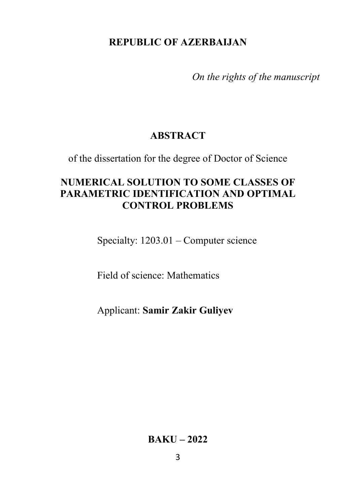### **REPUBLIC OF AZERBAIJAN**

*On the rights of the manuscript* 

# **ABSTRACT**

of the dissertation for the degree of Doctor of Science

# **NUMERICAL SOLUTION TO SOME CLASSES OF PARAMETRIC IDENTIFICATION AND OPTIMAL CONTROL PROBLEMS**

Specialty: 1203.01 – Computer science

Field of science: Mathematics

Applicant: **Samir Zakir Guliyev**

**BAKU – 2022**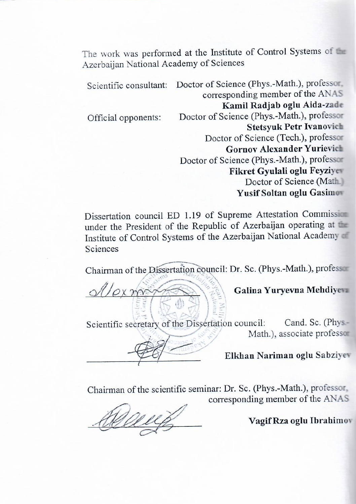The work was performed at the Institute of Control Systems of the The work was performed at the

|  | Scientific consultant: | Doctor of Science (Phys.-Math.), professor.<br>corresponding member of the ANAS |
|--|------------------------|---------------------------------------------------------------------------------|
|  |                        | Kamil Radjab oglu Aida-zade                                                     |
|  | Official opponents:    | Doctor of Science (Phys.-Math.), professor                                      |
|  |                        | <b>Stetsyuk Petr Ivanovich</b>                                                  |
|  |                        | Doctor of Science (Tech.), professor                                            |
|  |                        | <b>Gornov Alexander Yurievich</b>                                               |
|  |                        | Doctor of Science (Phys.-Math.), professor                                      |
|  |                        | Fikret Gyulali oglu Feyziyes                                                    |
|  |                        | Doctor of Science (Math                                                         |
|  |                        | Yusif Soltan oglu Gasimon                                                       |
|  |                        |                                                                                 |

Dissertation council ED 1.19 of Supreme Attestation Commission under the President of the Republic of Azerbaijan operating at the Institute of Control Systems of the Azerbaijan National Academy of Sciences

Chairman of the Dissertation council: Dr. Sc. (Phys.-Math.), professor

 $\frac{1}{\sqrt{2\pi}}\frac{1}{\sqrt{2\pi}}\frac{1}{\sqrt{2\pi}}\frac{1}{\sqrt{2\pi}}\frac{1}{\sqrt{2\pi}}\frac{1}{\sqrt{2\pi}}\frac{1}{\sqrt{2\pi}}\frac{1}{\sqrt{2\pi}}\frac{1}{\sqrt{2\pi}}\frac{1}{\sqrt{2\pi}}\frac{1}{\sqrt{2\pi}}\frac{1}{\sqrt{2\pi}}\frac{1}{\sqrt{2\pi}}\frac{1}{\sqrt{2\pi}}\frac{1}{\sqrt{2\pi}}\frac{1}{\sqrt{2\pi}}\frac{1}{\sqrt{2\pi}}\frac{1}{\sqrt{2\pi}}\frac{1$ 

Galina Yuryevna Mehdiyevn

Scientific secretary of the Dissertation council: Cand. Sc. (Phys-Math.), associate professor

 $\mathcal{P}$  and  $\mathcal{P}$  associate professor professor professor professor professor professor professor professor professor professor professor professor professor professor professor professor professor professor professor \_\_\_\_\_\_\_\_\_\_\_\_\_\_\_\_\_\_\_\_\_\_\_\_ **Elkhan Nariman oglu Sabziyev**

Chairman of the scientific seminar: Dr. Sc. (Phys.-Math.), professor, corresponding member of the ANAS

\_\_\_\_\_\_\_\_\_\_\_\_\_\_\_\_\_\_\_\_\_\_\_\_ **Vagif Rza oglu Ibrahimov**

Vagif Rza oglu Ibrahimov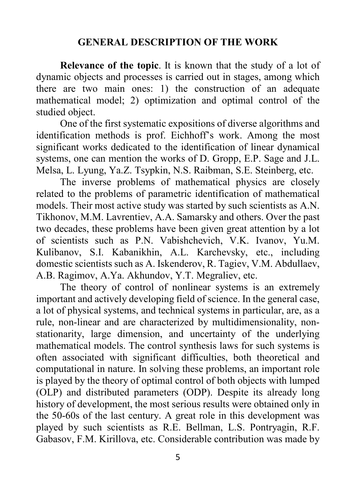#### **GENERAL DESCRIPTION OF THE WORK**

**Relevance of the topic**. It is known that the study of a lot of dynamic objects and processes is carried out in stages, among which there are two main ones: 1) the construction of an adequate mathematical model; 2) optimization and optimal control of the studied object.

One of the first systematic expositions of diverse algorithms and identification methods is prof. Eichhoff's work. Among the most significant works dedicated to the identification of linear dynamical systems, one can mention the works of D. Gropp, E.P. Sage and J.L. Melsa, L. Lyung, Ya.Z. Tsypkin, N.S. Raibman, S.E. Steinberg, etc.

The inverse problems of mathematical physics are closely related to the problems of parametric identification of mathematical models. Their most active study was started by such scientists as A.N. Tikhonov, M.M. Lavrentiev, A.A. Samarsky and others. Over the past two decades, these problems have been given great attention by a lot of scientists such as P.N. Vabishchevich, V.K. Ivanov, Yu.M. Kulibanov, S.I. Kabanikhin, A.L. Karchevsky, etc., including domestic scientists such as A. Iskenderov, R. Tagiev, V.M. Abdullaev, A.B. Ragimov, A.Ya. Akhundov, Y.T. Megraliev, etc.

The theory of control of nonlinear systems is an extremely important and actively developing field of science. In the general case, a lot of physical systems, and technical systems in particular, are, as a rule, non-linear and are characterized by multidimensionality, nonstationarity, large dimension, and uncertainty of the underlying mathematical models. The control synthesis laws for such systems is often associated with significant difficulties, both theoretical and computational in nature. In solving these problems, an important role is played by the theory of optimal control of both objects with lumped (OLP) and distributed parameters (ODP). Despite its already long history of development, the most serious results were obtained only in the 50-60s of the last century. A great role in this development was played by such scientists as R.E. Bellman, L.S. Pontryagin, R.F. Gabasov, F.M. Kirillova, etc. Considerable contribution was made by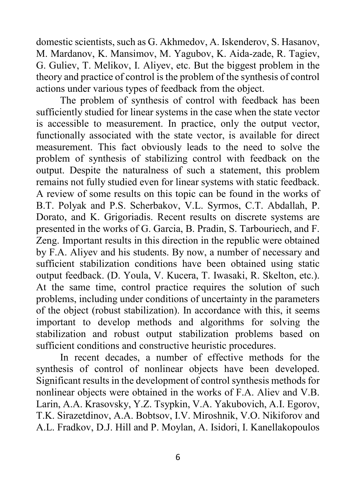domestic scientists, such as G. Akhmedov, A. Iskenderov, S. Hasanov, M. Mardanov, K. Mansimov, M. Yagubov, K. Aida-zade, R. Tagiev, G. Guliev, T. Melikov, I. Aliyev, etc. But the biggest problem in the theory and practice of control is the problem of the synthesis of control actions under various types of feedback from the object.

The problem of synthesis of control with feedback has been sufficiently studied for linear systems in the case when the state vector is accessible to measurement. In practice, only the output vector, functionally associated with the state vector, is available for direct measurement. This fact obviously leads to the need to solve the problem of synthesis of stabilizing control with feedback on the output. Despite the naturalness of such a statement, this problem remains not fully studied even for linear systems with static feedback. A review of some results on this topic can be found in the works of B.T. Polyak and P.S. Scherbakov, V.L. Syrmos, C.T. Abdallah, P. Dorato, and K. Grigoriadis. Recent results on discrete systems are presented in the works of G. Garcia, B. Pradin, S. Tarbouriech, and F. Zeng. Important results in this direction in the republic were obtained by F.A. Aliyev and his students. By now, a number of necessary and sufficient stabilization conditions have been obtained using static output feedback. (D. Youla, V. Kucera, T. Iwasaki, R. Skelton, etc.). At the same time, control practice requires the solution of such problems, including under conditions of uncertainty in the parameters of the object (robust stabilization). In accordance with this, it seems important to develop methods and algorithms for solving the stabilization and robust output stabilization problems based on sufficient conditions and constructive heuristic procedures.

In recent decades, a number of effective methods for the synthesis of control of nonlinear objects have been developed. Significant results in the development of control synthesis methods for nonlinear objects were obtained in the works of F.A. Aliev and V.B. Larin, A.A. Krasovsky, Y.Z. Tsypkin, V.A. Yakubovich, A.I. Egorov, T.K. Sirazetdinov, A.A. Bobtsov, I.V. Miroshnik, V.O. Nikiforov and A.L. Fradkov, D.J. Hill and P. Moylan, A. Isidori, I. Kanellakopoulos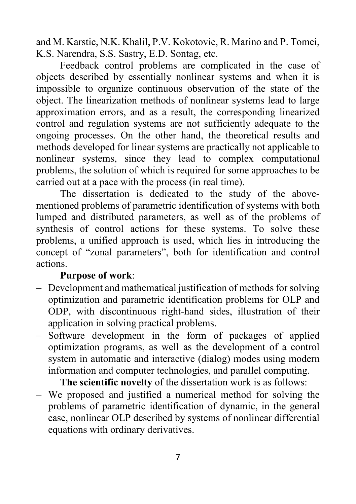and M. Karstic, N.K. Khalil, P.V. Kokotovic, R. Marino and P. Tomei, K.S. Narendra, S.S. Sastry, E.D. Sontag, etc.

Feedback control problems are complicated in the case of objects described by essentially nonlinear systems and when it is impossible to organize continuous observation of the state of the object. The linearization methods of nonlinear systems lead to large approximation errors, and as a result, the corresponding linearized control and regulation systems are not sufficiently adequate to the ongoing processes. On the other hand, the theoretical results and methods developed for linear systems are practically not applicable to nonlinear systems, since they lead to complex computational problems, the solution of which is required for some approaches to be carried out at a pace with the process (in real time).

The dissertation is dedicated to the study of the abovementioned problems of parametric identification of systems with both lumped and distributed parameters, as well as of the problems of synthesis of control actions for these systems. To solve these problems, a unified approach is used, which lies in introducing the concept of "zonal parameters", both for identification and control actions.

#### **Purpose of work**:

- − Development and mathematical justification of methods for solving optimization and parametric identification problems for OLP and ODP, with discontinuous right-hand sides, illustration of their application in solving practical problems.
- − Software development in the form of packages of applied optimization programs, as well as the development of a control system in automatic and interactive (dialog) modes using modern information and computer technologies, and parallel computing.

**The scientific novelty** of the dissertation work is as follows:

− We proposed and justified a numerical method for solving the problems of parametric identification of dynamic, in the general case, nonlinear OLP described by systems of nonlinear differential equations with ordinary derivatives.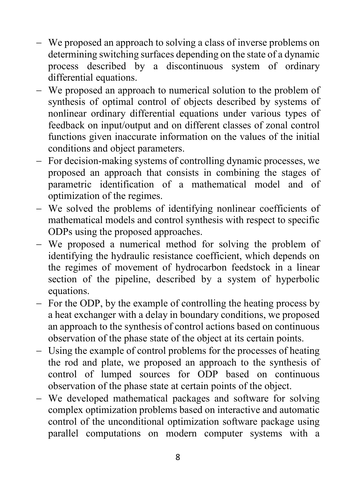- − We proposed an approach to solving a class of inverse problems on determining switching surfaces depending on the state of a dynamic process described by a discontinuous system of ordinary differential equations.
- − We proposed an approach to numerical solution to the problem of synthesis of optimal control of objects described by systems of nonlinear ordinary differential equations under various types of feedback on input/output and on different classes of zonal control functions given inaccurate information on the values of the initial conditions and object parameters.
- − For decision-making systems of controlling dynamic processes, we proposed an approach that consists in combining the stages of parametric identification of a mathematical model and of optimization of the regimes.
- − We solved the problems of identifying nonlinear coefficients of mathematical models and control synthesis with respect to specific ODPs using the proposed approaches.
- − We proposed a numerical method for solving the problem of identifying the hydraulic resistance coefficient, which depends on the regimes of movement of hydrocarbon feedstock in a linear section of the pipeline, described by a system of hyperbolic equations.
- − For the ODP, by the example of controlling the heating process by a heat exchanger with a delay in boundary conditions, we proposed an approach to the synthesis of control actions based on continuous observation of the phase state of the object at its certain points.
- − Using the example of control problems for the processes of heating the rod and plate, we proposed an approach to the synthesis of control of lumped sources for ODP based on continuous observation of the phase state at certain points of the object.
- − We developed mathematical packages and software for solving complex optimization problems based on interactive and automatic control of the unconditional optimization software package using parallel computations on modern computer systems with a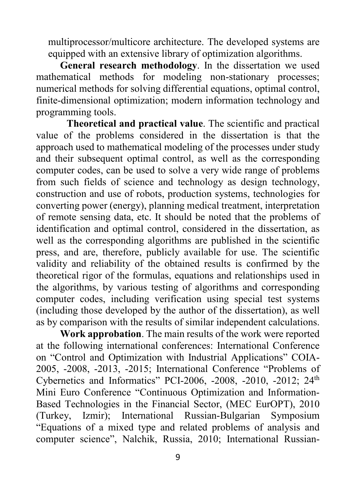multiprocessor/multicore architecture. The developed systems are equipped with an extensive library of optimization algorithms.

**General research methodology**. In the dissertation we used mathematical methods for modeling non-stationary processes; numerical methods for solving differential equations, optimal control, finite-dimensional optimization; modern information technology and programming tools.

**Theoretical and practical value**. The scientific and practical value of the problems considered in the dissertation is that the approach used to mathematical modeling of the processes under study and their subsequent optimal control, as well as the corresponding computer codes, can be used to solve a very wide range of problems from such fields of science and technology as design technology, construction and use of robots, production systems, technologies for converting power (energy), planning medical treatment, interpretation of remote sensing data, etc. It should be noted that the problems of identification and optimal control, considered in the dissertation, as well as the corresponding algorithms are published in the scientific press, and are, therefore, publicly available for use. The scientific validity and reliability of the obtained results is confirmed by the theoretical rigor of the formulas, equations and relationships used in the algorithms, by various testing of algorithms and corresponding computer codes, including verification using special test systems (including those developed by the author of the dissertation), as well as by comparison with the results of similar independent calculations.

**Work approbation**. The main results of the work were reported at the following international conferences: International Conference on "Control and Optimization with Industrial Applications" COIA-2005, -2008, -2013, -2015; International Conference "Problems of Cybernetics and Informatics" PCI-2006, -2008, -2010, -2012;  $24<sup>th</sup>$ Mini Euro Conference "Continuous Optimization and Information-Based Technologies in the Financial Sector, (MEC EurOPT), 2010 (Turkey, Izmir); International Russian-Bulgarian Symposium "Equations of a mixed type and related problems of analysis and computer science", Nalchik, Russia, 2010; International Russian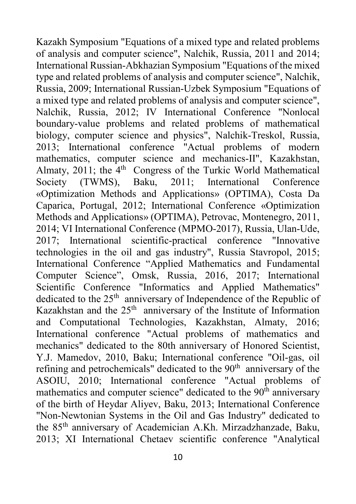Kazakh Symposium "Equations of a mixed type and related problems of analysis and computer science", Nalchik, Russia, 2011 and 2014; International Russian-Abkhazian Symposium "Equations of the mixed type and related problems of analysis and computer science", Nalchik, Russia, 2009; International Russian-Uzbek Symposium "Equations of a mixed type and related problems of analysis and computer science", Nalchik, Russia, 2012; IV International Conference "Nonlocal boundary-value problems and related problems of mathematical biology, computer science and physics", Nalchik-Treskol, Russia, 2013; International conference "Actual problems of modern mathematics, computer science and mechanics-II", Kazakhstan, Almaty, 2011; the  $4<sup>th</sup>$  Congress of the Turkic World Mathematical Society (TWMS), Baku, 2011; International Conference «Optimization Methods and Applications» (OPTIMA), Costa Da Caparica, Portugal, 2012; International Conference «Optimization Methods and Applications» (OPTIMA), Petrovac, Montenegro, 2011, 2014; VI International Conference (MPMO-2017), Russia, Ulan-Ude, 2017; International scientific-practical conference "Innovative technologies in the oil and gas industry", Russia Stavropol, 2015; International Conference "Applied Mathematics and Fundamental Computer Science", Omsk, Russia, 2016, 2017; International Scientific Conference "Informatics and Applied Mathematics" dedicated to the 25<sup>th</sup> anniversary of Independence of the Republic of Kazakhstan and the  $25<sup>th</sup>$  anniversary of the Institute of Information and Computational Technologies, Kazakhstan, Almaty, 2016; International conference "Actual problems of mathematics and mechanics" dedicated to the 80th anniversary of Honored Scientist, Y.J. Mamedov, 2010, Baku; International conference "Oil-gas, oil refining and petrochemicals" dedicated to the 90<sup>th</sup> anniversary of the ASOIU, 2010; International conference "Actual problems of mathematics and computer science" dedicated to the 90<sup>th</sup> anniversary of the birth of Heydar Aliyev, Baku, 2013; International Conference "Non-Newtonian Systems in the Oil and Gas Industry" dedicated to the 85th anniversary of Academician A.Kh. Mirzadzhanzade, Baku, 2013; XI International Chetaev scientific conference "Analytical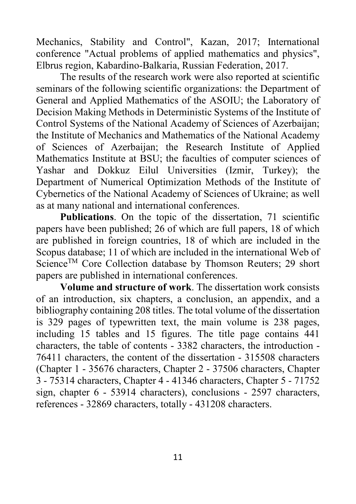Mechanics, Stability and Control", Kazan, 2017; International conference "Actual problems of applied mathematics and physics", Elbrus region, Kabardino-Balkaria, Russian Federation, 2017.

The results of the research work were also reported at scientific seminars of the following scientific organizations: the Department of General and Applied Mathematics of the ASOIU; the Laboratory of Decision Making Methods in Deterministic Systems of the Institute of Control Systems of the National Academy of Sciences of Azerbaijan; the Institute of Mechanics and Mathematics of the National Academy of Sciences of Azerbaijan; the Research Institute of Applied Mathematics Institute at BSU; the faculties of computer sciences of Yashar and Dokkuz Eilul Universities (Izmir, Turkey); the Department of Numerical Optimization Methods of the Institute of Cybernetics of the National Academy of Sciences of Ukraine; as well as at many national and international conferences.

Publications. On the topic of the dissertation, 71 scientific papers have been published; 26 of which are full papers, 18 of which are published in foreign countries, 18 of which are included in the Scopus database; 11 of which are included in the international Web of Science<sup>TM</sup> Core Collection database by Thomson Reuters; 29 short papers are published in international conferences.

**Volume and structure of work**. The dissertation work consists of an introduction, six chapters, a conclusion, an appendix, and a bibliography containing 208 titles. The total volume of the dissertation is 329 pages of typewritten text, the main volume is 238 pages, including 15 tables and 15 figures. The title page contains 441 characters, the table of contents - 3382 characters, the introduction - 76411 characters, the content of the dissertation - 315508 characters (Chapter 1 - 35676 characters, Chapter 2 - 37506 characters, Chapter 3 - 75314 characters, Chapter 4 - 41346 characters, Chapter 5 - 71752 sign, chapter 6 - 53914 characters), conclusions - 2597 characters, references - 32869 characters, totally - 431208 characters.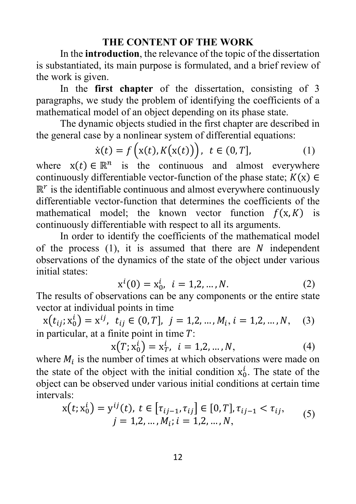#### **THE CONTENT OF THE WORK**

In the **introduction**, the relevance of the topic of the dissertation is substantiated, its main purpose is formulated, and a brief review of the work is given.

In the **first chapter** of the dissertation, consisting of 3 paragraphs, we study the problem of identifying the coefficients of a mathematical model of an object depending on its phase state.

The dynamic objects studied in the first chapter are described in the general case by a nonlinear system of differential equations:

$$
\dot{\mathbf{x}}(t) = f\left(\mathbf{x}(t), K(\mathbf{x}(t))\right), \ t \in (0, T], \tag{1}
$$

where  $x(t) \in \mathbb{R}^n$  is the continuous and almost everywhere continuously differentiable vector-function of the phase state;  $K(x) \in$  $\mathbb{R}^r$  is the identifiable continuous and almost everywhere continuously differentiable vector-function that determines the coefficients of the mathematical model; the known vector function  $f(x,K)$  is continuously differentiable with respect to all its arguments.

In order to identify the coefficients of the mathematical model of the process  $(1)$ , it is assumed that there are N independent observations of the dynamics of the state of the object under various initial states:

$$
x^{i}(0) = x_{0}^{i}, i = 1, 2, ..., N.
$$
 (2)

The results of observations can be any components or the entire state vector at individual points in time

 $x(t_{ij}; x_0^i) = x^{ij}, t_{ij} \in (0, T], j = 1, 2, ..., M_i, i = 1, 2, ..., N,$  (3) in particular, at a finite point in time  $T$ :

$$
x(T; x_0^i) = x_T^i, \ i = 1, 2, ..., N,
$$
 (4)

where  $M_i$  is the number of times at which observations were made on the state of the object with the initial condition  $x_0^l$ . The state of the object can be observed under various initial conditions at certain time intervals:

$$
x(t; x_0^i) = y^{ij}(t), t \in [\tau_{ij-1}, \tau_{ij}] \in [0, T], \tau_{ij-1} < \tau_{ij},
$$
  
\n
$$
j = 1, 2, ..., M_i; i = 1, 2, ..., N,
$$
\n(5)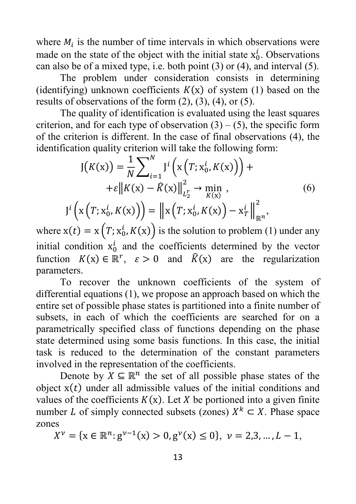where  $M_i$  is the number of time intervals in which observations were made on the state of the object with the initial state  $x_0^l$ . Observations can also be of a mixed type, i.e. both point (3) or (4), and interval (5).

The problem under consideration consists in determining (identifying) unknown coefficients  $K(x)$  of system (1) based on the results of observations of the form  $(2)$ ,  $(3)$ ,  $(4)$ , or  $(5)$ .

The quality of identification is evaluated using the least squares criterion, and for each type of observation  $(3) - (5)$ , the specific form of the criterion is different. In the case of final observations (4), the identification quality criterion will take the following form:

$$
J(K(x)) = \frac{1}{N} \sum_{i=1}^{N} J^{i} (x(T; x_{0}^{i}, K(x))) + \epsilon ||K(x) - \hat{K}(x)||_{L_{2}^{2}}^{2} \to \min_{K(x)} ,
$$
\n(6)\n
$$
J^{i} (x(T; x_{0}^{i}, K(x))) = ||x(T; x_{0}^{i}, K(x)) - x_{T}^{i}||_{\mathbb{R}^{n}}^{2},
$$

where  $x(t) = x(T; x_0^l, K(x))$  is the solution to problem (1) under any initial condition  $x_0^l$  and the coefficients determined by the vector function  $K(x) \in \mathbb{R}^r$ ,  $\varepsilon > 0$  and  $\hat{K}(x)$  are the regularization parameters.

 $I^i$ 

To recover the unknown coefficients of the system of differential equations (1), we propose an approach based on which the entire set of possible phase states is partitioned into a finite number of subsets, in each of which the coefficients are searched for on a parametrically specified class of functions depending on the phase state determined using some basis functions. In this case, the initial task is reduced to the determination of the constant parameters involved in the representation of the coefficients.

Denote by  $X \subseteq \mathbb{R}^n$  the set of all possible phase states of the object  $x(t)$  under all admissible values of the initial conditions and values of the coefficients  $K(x)$ . Let X be portioned into a given finite number *L* of simply connected subsets (zones)  $X^k \subset X$ . Phase space zones

 $X^{\nu} = \{x \in \mathbb{R}^n : g^{\nu-1}(x) > 0, g^{\nu}(x) \le 0\}, \ \nu = 2, 3, ..., L - 1,$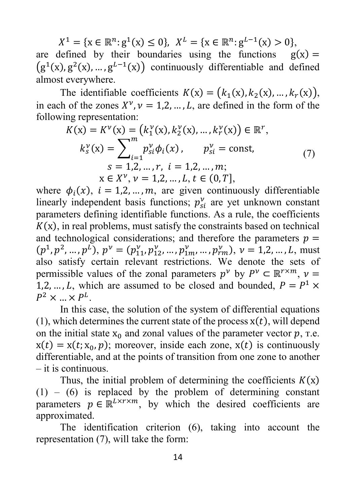$X^1 = \{x \in \mathbb{R}^n : g^1(x) \leq 0\},\ X^L = \{x \in \mathbb{R}^n : g^{L-1}(x) > 0\},\$ are defined by their boundaries using the functions  $g(x) =$  $(g^{1}(x), g^{2}(x), ..., g^{L-1}(x))$  continuously differentiable and defined almost everywhere.

The identifiable coefficients  $K(x) = (k_1(x), k_2(x), ..., k_r(x)),$ in each of the zones  $X^{\nu}$ ,  $\nu = 1,2,...,L$ , are defined in the form of the following representation:

$$
K(\mathbf{x}) = K^{\nu}(\mathbf{x}) = (k_1^{\nu}(\mathbf{x}), k_2^{\nu}(\mathbf{x}), ..., k_r^{\nu}(\mathbf{x})) \in \mathbb{R}^r,
$$
  
\n
$$
k_s^{\nu}(\mathbf{x}) = \sum_{i=1}^m p_{si}^{\nu} \phi_i(\mathbf{x}), \qquad p_{si}^{\nu} = \text{const},
$$
  
\n
$$
s = 1, 2, ..., r, \quad i = 1, 2, ..., m;
$$
  
\n
$$
\mathbf{x} \in X^{\nu}, \nu = 1, 2, ..., L, t \in (0, T],
$$
  
\n(7)

where  $\phi_i(x)$ ,  $i = 1,2,...,m$ , are given continuously differentiable linearly independent basis functions;  $p_{si}^v$  are yet unknown constant parameters defining identifiable functions. As a rule, the coefficients  $K(x)$ , in real problems, must satisfy the constraints based on technical and technological considerations; and therefore the parameters  $p =$  $(p^1, p^2, \dots, p^L), p^V = (p_{11}^V, p_{12}^V, \dots, p_{1m}^V, \dots, p_{rm}^V), v = 1, 2, \dots, L$ , must also satisfy certain relevant restrictions. We denote the sets of permissible values of the zonal parameters  $p^{\nu}$  by  $P^{\nu} \subset \mathbb{R}^{r \times m}$ ,  $\nu =$ 1,2, ..., L, which are assumed to be closed and bounded,  $P = P^1 \times$  $P^2 \times ... \times P^L$ .

In this case, the solution of the system of differential equations (1), which determines the current state of the process  $x(t)$ , will depend on the initial state  $x_0$  and zonal values of the parameter vector p, r.e.  $x(t) = x(t; x_0, p)$ ; moreover, inside each zone,  $x(t)$  is continuously differentiable, and at the points of transition from one zone to another – it is continuous.

Thus, the initial problem of determining the coefficients  $K(x)$  $(1)$  –  $(6)$  is replaced by the problem of determining constant parameters  $p \in \mathbb{R}^{L \times r \times m}$ , by which the desired coefficients are approximated.

The identification criterion (6), taking into account the representation (7), will take the form: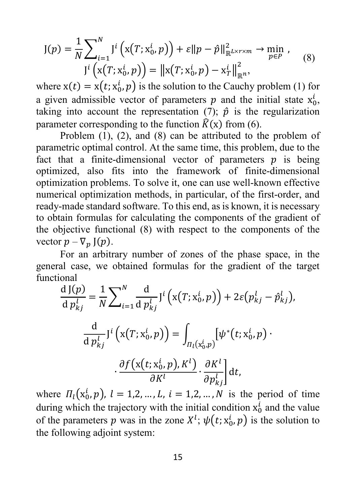$$
J(p) = \frac{1}{N} \sum_{i=1}^{N} J^{i} (x(T; x_{0}^{i}, p)) + \varepsilon ||p - \hat{p}||_{\mathbb{R}^{L \times r \times m}}^{2} \to \min_{p \in P} ,
$$
  
\n
$$
J^{i} (x(T; x_{0}^{i}, p)) = ||x(T; x_{0}^{i}, p) - x_{T}^{i}||_{\mathbb{R}^{n}}^{2},
$$
\n(8)

where  $x(t) = x(t; x_0^l, p)$  is the solution to the Cauchy problem (1) for a given admissible vector of parameters  $p$  and the initial state  $x_0^l$ , taking into account the representation (7);  $\hat{p}$  is the regularization parameter corresponding to the function  $\hat{K}(x)$  from (6).

Problem (1), (2), and (8) can be attributed to the problem of parametric optimal control. At the same time, this problem, due to the fact that a finite-dimensional vector of parameters  $p$  is being optimized, also fits into the framework of finite-dimensional optimization problems. To solve it, one can use well-known effective numerical optimization methods, in particular, of the first-order, and ready-made standard software. To this end, as is known, it is necessary to obtain formulas for calculating the components of the gradient of the objective functional (8) with respect to the components of the vector  $p - \nabla_p$  J $(p)$ .

For an arbitrary number of zones of the phase space, in the general case, we obtained formulas for the gradient of the target functional

$$
\frac{d J(p)}{d p_{kj}^l} = \frac{1}{N} \sum_{i=1}^N \frac{d}{d p_{kj}^l} J^i (x(T; x_0^i, p)) + 2\varepsilon (p_{kj}^l - \hat{p}_{kj}^l),
$$

$$
\frac{d}{d p_{kj}^l} J^i (x(T; x_0^i, p)) = \int_{\Pi_l(x_0^i, p)} [\psi^*(t; x_0^i, p) \cdot \frac{\partial f(x(t; x_0^i, p), K^l)}{\partial K^l} \cdot \frac{\partial K^l}{\partial p_{kj}^l}] dt,
$$

where  $\Pi_l(x_0^l, p)$ ,  $l = 1, 2, ..., L$ ,  $i = 1, 2, ..., N$  is the period of time during which the trajectory with the initial condition  $x_0^l$  and the value of the parameters p was in the zone  $X^l$ ;  $\psi(t; x_0^l, p)$  is the solution to the following adjoint system: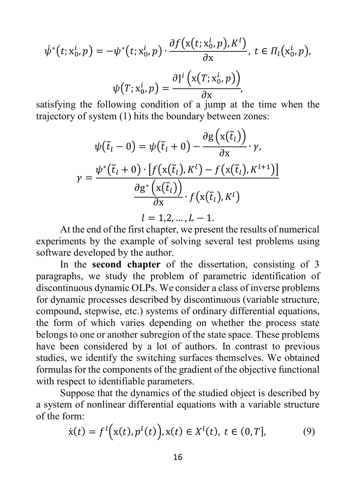$$
\dot{\psi}^*(t; \mathbf{x}_0^i, p) = -\psi^*(t; \mathbf{x}_0^i, p) \cdot \frac{\partial f(\mathbf{x}(t; \mathbf{x}_0^i, p), K^l)}{\partial \mathbf{x}}, \ t \in \Pi_l(\mathbf{x}_0^i, p),
$$

$$
\psi(T; \mathbf{x}_0^i, p) = \frac{\partial J^i(\mathbf{x}(T; \mathbf{x}_0^i, p))}{\partial \mathbf{x}},
$$

satisfying the following condition of a jump at the time when the trajectory of system (1) hits the boundary between zones:

$$
\psi(\overline{t}_l - 0) = \psi(\overline{t}_l + 0) - \frac{\partial g(x(\overline{t}_l))}{\partial x} \cdot \gamma,
$$

$$
\gamma = \frac{\psi^*(\overline{t}_l + 0) \cdot [f(x(\overline{t}_l), K^l) - f(x(\overline{t}_l), K^{l+1})]}{\frac{\partial g^*(x(\overline{t}_l))}{\partial x} \cdot f(x(\overline{t}_l), K^l)}
$$

$$
l = 1, 2, ..., L - 1.
$$

At the end of the first chapter, we present the results of numerical experiments by the example of solving several test problems using software developed by the author.

In the **second chapter** of the dissertation, consisting of 3 paragraphs, we study the problem of parametric identification of discontinuous dynamic OLPs. We consider a class of inverse problems for dynamic processes described by discontinuous (variable structure, compound, stepwise, etc.) systems of ordinary differential equations, the form of which varies depending on whether the process state belongs to one or another subregion of the state space. These problems have been considered by a lot of authors. In contrast to previous studies, we identify the switching surfaces themselves. We obtained formulas for the components of the gradient of the objective functional with respect to identifiable parameters.

Suppose that the dynamics of the studied object is described by a system of nonlinear differential equations with a variable structure of the form:

$$
\dot{x}(t) = f^{l}(x(t), p^{l}(t)), x(t) \in X^{l}(t), t \in (0, T],
$$
 (9)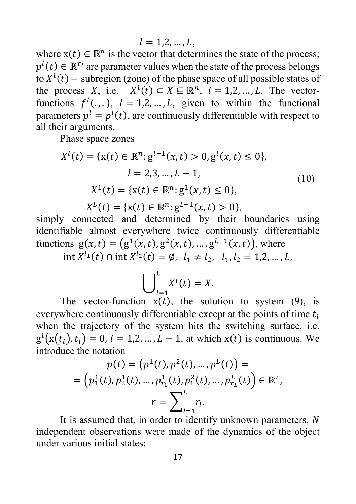$l = 1.2, ..., L$ 

where  $x(t) \in \mathbb{R}^n$  is the vector that determines the state of the process;  $p^{t}(t) \in \mathbb{R}^{r}$  are parameter values when the state of the process belongs to  $X^l(t)$  – subregion (zone) of the phase space of all possible states of the process X, i.e.  $X^l(t) \subset X \subseteq \mathbb{R}^n$ ,  $l = 1, 2, ..., L$ . The vectorfunctions  $f^l(.,.), l = 1,2,...,L,$  given to within the functional parameters  $p^l = p^l(t)$ , are continuously differentiable with respect to all their arguments.

Phase space zones

$$
X^{l}(t) = \{x(t) \in \mathbb{R}^{n}: g^{l-1}(x, t) > 0, g^{l}(x, t) \le 0\},
$$
  
\n
$$
l = 2, 3, ..., L - 1,
$$
  
\n
$$
X^{1}(t) = \{x(t) \in \mathbb{R}^{n}: g^{1}(x, t) \le 0\},
$$
  
\n
$$
X^{L}(t) = \{x(t) \in \mathbb{R}^{n}: g^{L-1}(x, t) > 0\},
$$
  
\n(10)

simply connected and determined by their boundaries using identifiable almost everywhere twice continuously differentiable functions  $g(x,t) = (g^1(x,t), g^2(x,t), ..., g^{L-1}(x,t))$ , where

int  $X^{l_1}(t)$  ∩ int  $X^{l_2}(t) = \emptyset$ ,  $l_1 \neq l_2$ ,  $l_1, l_2 = 1, 2, ..., L$ ,

$$
\bigcup_{l=1}^{L} X^{l}(t) = X.
$$

The vector-function  $x(t)$ , the solution to system (9), is everywhere continuously differentiable except at the points of time  $\overline{t}_1$ when the trajectory of the system hits the switching surface, i.e.  $g^{(x)}(x(t_l), t_l) = 0, l = 1, 2, ..., L - 1$ , at which  $x(t)$  is continuous. We introduce the notation

$$
p(t) = (p1(t), p2(t), ..., pL(t)) =
$$
  
=  $(p11(t), p21(t), ..., pr11(t), p12(t), ..., prLL(t)) \in \mathbb{R}^{r},$   
 $r = \sum_{l=1}^{L} r_{l}.$ 

It is assumed that, in order to identify unknown parameters, N independent observations were made of the dynamics of the object under various initial states: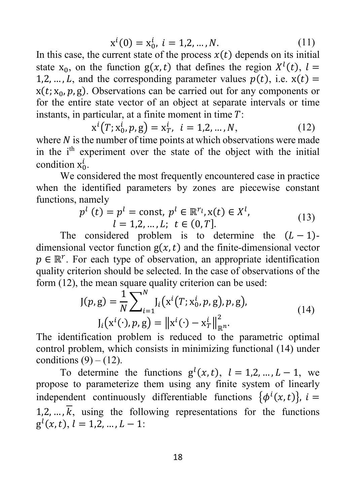$$
x^{i}(0) = x_{0}^{i}, i = 1, 2, ..., N.
$$
 (11)

In this case, the current state of the process  $x(t)$  depends on its initial state  $x_0$ , on the function  $g(x,t)$  that defines the region  $X^l(t)$ ,  $l =$ 1,2, ..., L, and the corresponding parameter values  $p(t)$ , i.e.  $x(t) =$  $x(t; x_0, p, g)$ . Observations can be carried out for any components or for the entire state vector of an object at separate intervals or time instants, in particular, at a finite moment in time  $T$ :

$$
x^{i}(T; x_{0}^{i}, p, g) = x_{T}^{i}, i = 1, 2, ..., N,
$$
 (12)

where  $N$  is the number of time points at which observations were made in the i<sup>th</sup> experiment over the state of the object with the initial condition  $x_0^l$ .

We considered the most frequently encountered case in practice when the identified parameters by zones are piecewise constant functions, namely

$$
p^{l}(t) = p^{l} = \text{const}, p^{l} \in \mathbb{R}^{r_l}, x(t) \in X^{l},
$$
  
\n
$$
l = 1, 2, ..., L; t \in (0, T].
$$
\n(13)

The considered problem is to determine the  $(L-1)$ dimensional vector function  $g(x,t)$  and the finite-dimensional vector  $p \in \mathbb{R}^r$ . For each type of observation, an appropriate identification quality criterion should be selected. In the case of observations of the form (12), the mean square quality criterion can be used:

$$
J(p, g) = \frac{1}{N} \sum_{i=1}^{N} J_i(x^{i}(T; x_0^{i}, p, g), p, g),
$$
  
\n
$$
J_i(x^{i}(\cdot), p, g) = ||x^{i}(\cdot) - x_T^{i}||_{\mathbb{R}^n}^2.
$$
\n(14)

The identification problem is reduced to the parametric optimal control problem, which consists in minimizing functional (14) under conditions  $(9) - (12)$ .

To determine the functions  $g^{l}(x, t)$ ,  $l = 1, 2, ..., L - 1$ , we propose to parameterize them using any finite system of linearly independent continuously differentiable functions  $\{\phi^i(x,t)\}\,$ ,  $i =$  $1, 2, \ldots, \overline{k}$ , using the following representations for the functions  $g^{l}(x, t), l = 1, 2, ..., L - 1:$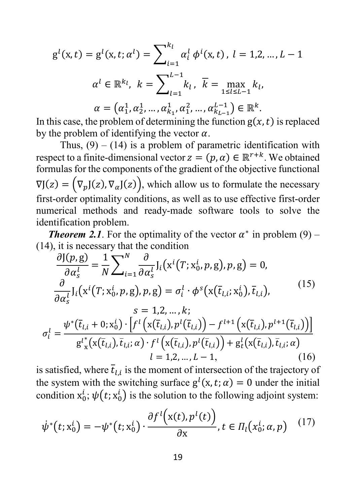$$
g^{l}(x, t) = g^{l}(x, t; \alpha^{l}) = \sum_{i=1}^{k_{l}} \alpha_{i}^{l} \phi^{i}(x, t), l = 1, 2, ..., L - 1
$$

$$
\alpha^{l} \in \mathbb{R}^{k_{l}}, k = \sum_{l=1}^{L-1} k_{l}, \overline{k} = \max_{1 \le l \le L-1} k_{l},
$$

$$
\alpha = (\alpha_{1}^{1}, \alpha_{2}^{1}, ..., \alpha_{k_{1}}^{1}, \alpha_{1}^{2}, ..., \alpha_{k_{L-1}}^{L-1}) \in \mathbb{R}^{k}.
$$

In this case, the problem of determining the function  $g(x,t)$  is replaced by the problem of identifying the vector  $\alpha$ .

Thus,  $(9) - (14)$  is a problem of parametric identification with respect to a finite-dimensional vector  $z = (p, \alpha) \in \mathbb{R}^{r+k}$ . We obtained formulas for the components of the gradient of the objective functional  $\nabla J(z) = (\nabla_p J(z), \nabla_\alpha J(z)),$  which allow us to formulate the necessary first-order optimality conditions, as well as to use effective first-order numerical methods and ready-made software tools to solve the identification problem.

*Theorem 2.1.* For the optimality of the vector  $\alpha^*$  in problem (9) – (14), it is necessary that the condition

$$
\frac{\partial J(p, g)}{\partial \alpha_s^l} = \frac{1}{N} \sum_{i=1}^N \frac{\partial}{\partial \alpha_s^l} J_i(x^i(T; x_0^i, p, g), p, g) = 0, \n\frac{\partial}{\partial \alpha_s^l} J_i(x^i(T; x_0^i, p, g), p, g) = \sigma_i^l \cdot \phi^s(x(\bar{t}_{l,i}; x_0^i), \bar{t}_{l,i}), \ns = 1, 2, ..., k; \n\sigma_i^l = \frac{\psi^*(\bar{t}_{l,i} + 0; x_0^i) \cdot [f^l(x(\bar{t}_{l,i}), p^l(\bar{t}_{l,i})) - f^{l+1}(x(\bar{t}_{l,i}), p^{l+1}(\bar{t}_{l,i}))]}{g^{l*}(x(\bar{t}_{l,i}), \bar{t}_{l,i}; \alpha) \cdot f^l(x(\bar{t}_{l,i}), p^l(\bar{t}_{l,i})) + g_t^l(x(\bar{t}_{l,i}), \bar{t}_{l,i}; \alpha)} \n= 1, 2, ..., L - 1, \quad (16)
$$

is satisfied, where  $\overline{t}_{ij}$  is the moment of intersection of the trajectory of the system with the switching surface  $g^{()}(x, t; \alpha) = 0$  under the initial condition  $x_0^i$ ;  $\psi(t; x_0^i)$  is the solution to the following adjoint system:

$$
\psi^*(t; \mathbf{x}_0^i) = -\psi^*(t; \mathbf{x}_0^i) \cdot \frac{\partial f^l(\mathbf{x}(t), p^l(t))}{\partial \mathbf{x}}, t \in \Pi_l(\mathbf{x}_0^i; \alpha, p) \quad (17)
$$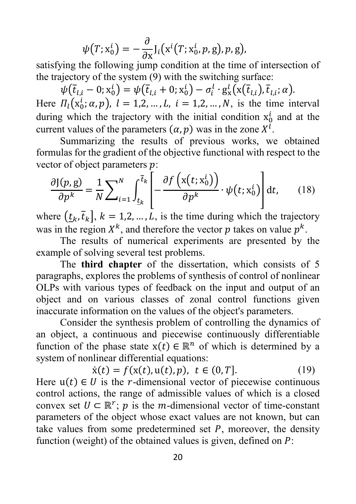$$
\psi(T; x_0^i) = -\frac{\partial}{\partial x} J_i(x^i(T; x_0^i, p, g), p, g),
$$

satisfying the following jump condition at the time of intersection of the trajectory of the system (9) with the switching surface:

 $\psi(\overline{t}_{l,i}-0;\mathrm{x}_0^l)=\psi(\overline{t}_{l,i}+0;\mathrm{x}_0^l)-\sigma_i^l\cdot\mathrm{g}_{\mathrm{x}}^l(\mathrm{x}(\overline{t}_{l,i}),\overline{t}_{l,i};\alpha).$ Here  $\Pi_l(x_0^l; \alpha, p)$ ,  $l = 1, 2, ..., L$ ,  $i = 1, 2, ..., N$ , is the time interval during which the trajectory with the initial condition  $x_0^l$  and at the current values of the parameters  $(\alpha, p)$  was in the zone  $X^l$ .

Summarizing the results of previous works, we obtained formulas for the gradient of the objective functional with respect to the vector of object parameters  $p$ :

$$
\frac{\partial J(p,g)}{\partial p^k} = \frac{1}{N} \sum_{i=1}^N \int_{\underline{t}_k}^{\overline{t}_k} \left[ -\frac{\partial f(x(t;x_0^i))}{\partial p^k} \cdot \psi(t;x_0^i) \right] dt, \qquad (18)
$$

where  $(t_k, \bar{t}_k]$ ,  $k = 1, 2, ..., L$ , is the time during which the trajectory was in the region  $X^k$ , and therefore the vector p takes on value  $p^k$ .

The results of numerical experiments are presented by the example of solving several test problems.

The **third chapter** of the dissertation, which consists of 5 paragraphs, explores the problems of synthesis of control of nonlinear OLPs with various types of feedback on the input and output of an object and on various classes of zonal control functions given inaccurate information on the values of the object's parameters.

Consider the synthesis problem of controlling the dynamics of an object, a continuous and piecewise continuously differentiable function of the phase state  $x(t) \in \mathbb{R}^n$  of which is determined by a system of nonlinear differential equations:

$$
\dot{x}(t) = f(x(t), u(t), p), \ t \in (0, T]. \tag{19}
$$

Here  $u(t) \in U$  is the *r*-dimensional vector of piecewise continuous control actions, the range of admissible values of which is a closed convex set  $U \subset \mathbb{R}^r$ ; p is the m-dimensional vector of time-constant parameters of the object whose exact values are not known, but can take values from some predetermined set  $P$ , moreover, the density function (weight) of the obtained values is given, defined on  $P$ :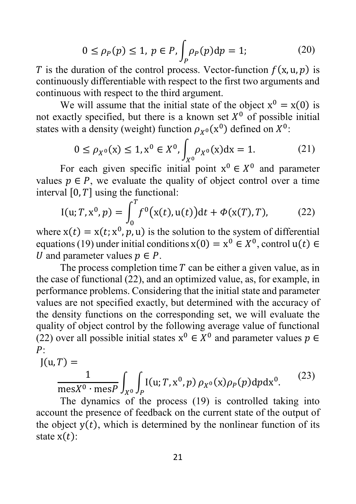$$
0 \le \rho_P(p) \le 1, \ p \in P, \int_P \rho_P(p) \, dp = 1; \tag{20}
$$

*T* is the duration of the control process. Vector-function  $f(x, u, p)$  is continuously differentiable with respect to the first two arguments and continuous with respect to the third argument.

We will assume that the initial state of the object  $x^0 = x(0)$  is not exactly specified, but there is a known set  $X^0$  of possible initial states with a density (weight) function  $\rho_{x^0}(x^0)$  defined on  $X^0$ :

$$
0 \le \rho_{X^0}(x) \le 1, x^0 \in X^0, \int_{X^0} \rho_{X^0}(x) dx = 1.
$$
 (21)

For each given specific initial point  $x^0 \in X^0$  and parameter values  $p \in P$ , we evaluate the quality of object control over a time interval  $[0, T]$  using the functional:

$$
I(u; T, x^0, p) = \int_0^T f^0(x(t), u(t)) dt + \Phi(x(T), T), \qquad (22)
$$

where  $x(t) = x(t; x^0, p, u)$  is the solution to the system of differential equations (19) under initial conditions  $x(0) = x^0 \in X^0$ , control  $u(t) \in$ U and parameter values  $p \in P$ .

The process completion time  $T$  can be either a given value, as in the case of functional (22), and an optimized value, as, for example, in performance problems. Considering that the initial state and parameter values are not specified exactly, but determined with the accuracy of the density functions on the corresponding set, we will evaluate the quality of object control by the following average value of functional (22) over all possible initial states  $x^0 \in X^0$  and parameter values  $p \in$  $P:$ 

$$
J(u, T) = \frac{1}{\text{mes } X^0 \cdot \text{mes } P} \int_{X^0} \int_P I(u; T, x^0, p) \rho_{X^0}(x) \rho_P(p) dp dx^0.
$$
 (23)  
The dynamics of the process (19) is controlled taking into

account the presence of feedback on the current state of the output of the object  $y(t)$ , which is determined by the nonlinear function of its state  $x(t)$ :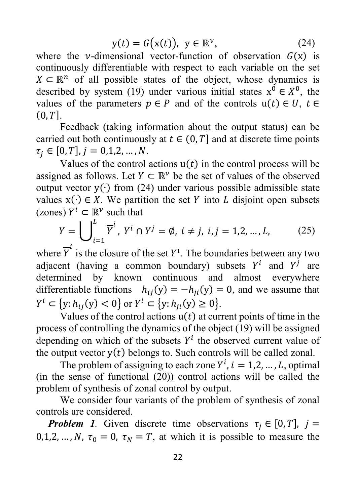$$
y(t) = G(x(t)), y \in \mathbb{R}^{\nu},
$$
 (24)

where the *v*-dimensional vector-function of observation  $G(x)$  is continuously differentiable with respect to each variable on the set  $X \subseteq \mathbb{R}^n$  of all possible states of the object, whose dynamics is described by system (19) under various initial states  $x^0 \in X^0$ , the values of the parameters  $p \in P$  and of the controls  $u(t) \in U$ ,  $t \in$  $(0, T]$ .

Feedback (taking information about the output status) can be carried out both continuously at  $t \in (0, T]$  and at discrete time points  $\tau_i \in [0, T], j = 0, 1, 2, ..., N.$ 

Values of the control actions  $u(t)$  in the control process will be assigned as follows. Let  $Y \subset \mathbb{R}^{\nu}$  be the set of values of the observed output vector y(∙) from (24) under various possible admissible state values  $x(·) \in X$ . We partition the set Y into L disjoint open subsets (zones)  $Y^i \subset \mathbb{R}^{\nu}$  such that

$$
Y = \bigcup_{i=1}^{L} \overline{Y}^{i}, Y^{i} \cap Y^{j} = \emptyset, i \neq j, i, j = 1, 2, ..., L,
$$
 (25)

where  $\overline{Y}^t$  is the closure of the set  $Y^i$ . The boundaries between any two adjacent (having a common boundary) subsets  $Y^i$  and  $Y^j$  are determined by known continuous and almost everywhere differentiable functions  $h_{ij}(y) = -h_{ji}(y) = 0$ , and we assume that  $Y^i \subset \{y: h_{ij}(y) < 0\}$  or  $Y^i \subset \{y: h_{ji}(y) \ge 0\}.$ 

Values of the control actions  $u(t)$  at current points of time in the process of controlling the dynamics of the object (19) will be assigned depending on which of the subsets  $Y^i$  the observed current value of the output vector  $y(t)$  belongs to. Such controls will be called zonal.

The problem of assigning to each zone  $Y^i$ ,  $i = 1, 2, ..., L$ , optimal (in the sense of functional  $(20)$ ) control actions will be called the problem of synthesis of zonal control by output.

We consider four variants of the problem of synthesis of zonal controls are considered.

*Problem 1.* Given discrete time observations  $\tau_i \in [0, T]$ ,  $j =$ 0,1,2, ...,  $N$ ,  $\tau_0 = 0$ ,  $\tau_N = T$ , at which it is possible to measure the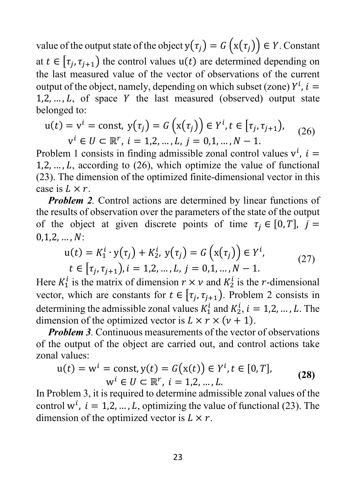value of the output state of the object  $y(\tau_j) = G(x(\tau_j)) \in Y$ . Constant at  $t \in [\tau_i, \tau_{i+1}]$  the control values  $u(t)$  are determined depending on the last measured value of the vector of observations of the current output of the object, namely, depending on which subset (zone)  $Y^l$ ,  $i =$  $1, 2, \ldots, L$ , of space Y the last measured (observed) output state belonged to:

$$
u(t) = v^{i} = \text{const}, y(\tau_{j}) = G(x(\tau_{j})) \in Y^{i}, t \in [\tau_{j}, \tau_{j+1}),
$$
  
\n
$$
v^{i} \in U \subset \mathbb{R}^{r}, i = 1, 2, ..., L, j = 0, 1, ..., N - 1.
$$
 (26)

Problem 1 consists in finding admissible zonal control values  $v^i$ ,  $i =$  $1, 2, \ldots, L$ , according to (26), which optimize the value of functional (23). The dimension of the optimized finite-dimensional vector in this case is  $L \times r$ .

*Problem 2.* Control actions are determined by linear functions of the results of observation over the parameters of the state of the output of the object at given discrete points of time  $\tau_i \in [0, T]$ ,  $j =$  $0,1,2,...,N$ :

$$
u(t) = K_1^i \cdot y(\tau_j) + K_2^i, y(\tau_j) = G(x(\tau_j)) \in Y^i,
$$
  
\n
$$
t \in [\tau_j, \tau_{j+1}), i = 1, 2, ..., L, j = 0, 1, ..., N - 1.
$$
 (27)

Here  $K_1^l$  is the matrix of dimension  $r \times v$  and  $K_2^l$  is the *r*-dimensional vector, which are constants for  $t \in [\tau_i, \tau_{i+1})$ . Problem 2 consists in determining the admissible zonal values  $K_1^l$  and  $K_2^l$ ,  $i = 1, 2, ..., L$ . The dimension of the optimized vector is  $L \times r \times (v + 1)$ .

*Problem 3.* Continuous measurements of the vector of observations of the output of the object are carried out, and control actions take zonal values:

$$
u(t) = wi = const, y(t) = G(x(t)) \in Yi, t \in [0, T],
$$
  
\n
$$
wi \in U \subset \mathbb{R}^r, i = 1, 2, ..., L.
$$
 (28)

In Problem 3, it is required to determine admissible zonal values of the control w<sup>*i*</sup>,  $i = 1,2,...,L$ , optimizing the value of functional (23). The dimension of the optimized vector is  $L \times r$ .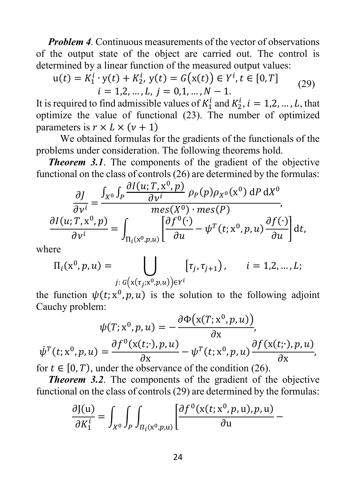*Problem 4.* Continuous measurements of the vector of observations of the output state of the object are carried out. The control is determined by a linear function of the measured output values:

$$
u(t) = K_1^i \cdot y(t) + K_2^i, y(t) = G(x(t)) \in Y^i, t \in [0, T]
$$
  
\n $i = 1, 2, ..., L, j = 0, 1, ..., N - 1.$  (29)

It is required to find admissible values of  $K_1^l$  and  $K_2^l$ ,  $i = 1, 2, ..., L$ , that optimize the value of functional (23). The number of optimized parameters is  $r \times L \times (v + 1)$ 

We obtained formulas for the gradients of the functionals of the problems under consideration. The following theorems hold.

*Theorem 3.1.* The components of the gradient of the objective functional on the class of controls (26) are determined by the formulas:

$$
\frac{\partial J}{\partial v^i} = \frac{\int_{X^0} \int_P \frac{\partial I(u; T, x^0, p)}{\partial v^i} \rho_P(p) \rho_{X^0}(x^0) \, dP \, dX^0}{mes(X^0) \cdot mes(P)},
$$
\n
$$
\frac{\partial I(u; T, x^0, p)}{\partial v^i} = \int_{\Pi_i(x^0, p, u)} \left[ \frac{\partial f^0(\cdot)}{\partial u} - \psi^T(t; x^0, p, u) \frac{\partial f(\cdot)}{\partial u} \right] dt,
$$

where

$$
\Pi_i(x^0, p, u) = \bigcup_{j: G(x(\tau_j; x^0, p, u)) \in Y^i} [\tau_j, \tau_{j+1}), \qquad i = 1, 2, ..., L;
$$

the function  $\psi(t; x^0, p, u)$  is the solution to the following adjoint Cauchy problem:

$$
\psi(T; x^0, p, u) = -\frac{\partial \Phi(x(T; x^0, p, u))}{\partial x},
$$

$$
\psi^T(t; x^0, p, u) = \frac{\partial f^0(x(t; \cdot), p, u)}{\partial x} - \psi^T(t; x^0, p, u) \frac{\partial f(x(t; \cdot), p, u)}{\partial x},
$$
for  $t \in [0, T)$  under the observer of the condition (26).

for  $t \in [0, T)$ , under the observance of the condition (26).

*Theorem 3.2*. The components of the gradient of the objective functional on the class of controls (29) are determined by the formulas:

$$
\frac{\partial J(u)}{\partial K_1^i} = \int_{X^0} \int_P \int_{\Pi_i(x^0,p,u)} \left[ \frac{\partial f^0(x(t;x^0,p,u),p,u)}{\partial u} - \right]
$$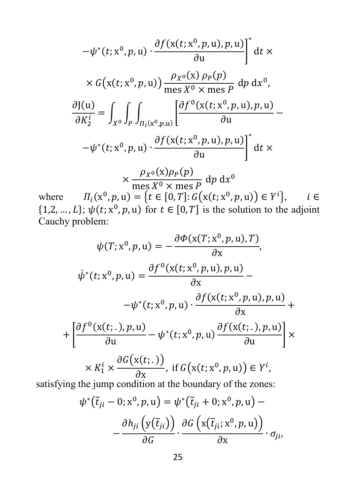$$
-\psi^*(t; x^0, p, u) \cdot \frac{\partial f(x(t; x^0, p, u), p, u)}{\partial u} \Big|^* dt \times
$$
  

$$
\times G(x(t; x^0, p, u)) \frac{\rho_{X^0}(x) \rho_P(p)}{\text{mes } X^0 \times \text{mes } P} dp dx^0,
$$
  

$$
\frac{\partial J(u)}{\partial K_2^i} = \int_{X^0} \int_P \int_{\Pi_i(x^0, p, u)} \left[ \frac{\partial f^0(x(t; x^0, p, u), p, u)}{\partial u} - \frac{\partial f(x(t; x^0, p, u), p, u)}{\partial u} \right]^* dx
$$
  

$$
\times \frac{\rho_{X^0}(x) \rho_P(p)}{\text{mes } X^0 \times \text{mes } P} dp dx^0
$$

where  $\Pi_i(x^0, p, u) = \{t \in [0, T] : G(x(t; x^0, p, u)) \in Y^t\}, \quad i \in$  $\{1,2,\ldots,L\}; \psi(t; x^0, p, u)$  for  $t \in [0,T]$  is the solution to the adjoint Cauchy problem:

$$
\psi(T; x^0, p, u) = -\frac{\partial \Phi(x(T; x^0, p, u), T)}{\partial x},
$$
  

$$
\dot{\psi}^*(t; x^0, p, u) = \frac{\partial f^0(x(t; x^0, p, u), p, u)}{\partial x} -
$$

$$
-\psi^*(t; x^0, p, u) \cdot \frac{\partial f(x(t; x^0, p, u), p, u)}{\partial x} +
$$

$$
+\left[\frac{\partial f^0(x(t; \cdot), p, u)}{\partial u} - \psi^*(t; x^0, p, u)\frac{\partial f(x(t; \cdot), p, u)}{\partial u}\right] \times
$$

$$
\times K_1^i \times \frac{\partial G(x(t; \cdot))}{\partial x}, \text{ if } G(x(t; x^0, p, u)) \in Y^i,
$$
satisfying the jump condition at the boundary of the zones:

$$
\psi^*(\overline{t}_{ji} - 0; x^0, p, u) = \psi^*(\overline{t}_{ji} + 0; x^0, p, u) - \frac{\partial h_{ji} (y(\overline{t}_{ji}))}{\partial G} \cdot \frac{\partial G (x(\overline{t}_{ji}; x^0, p, u))}{\partial x} \cdot \sigma_{ji},
$$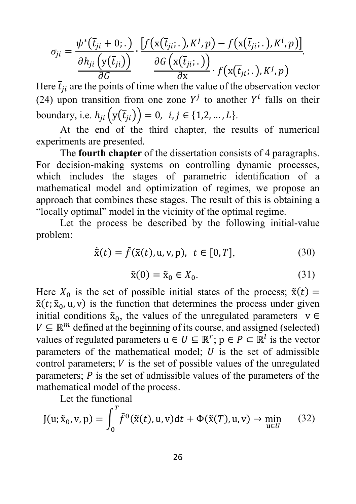$$
\sigma_{ji} = \frac{\psi^*(\overline{t}_{ji} + 0; .)}{\frac{\partial h_{ji}(y(\overline{t}_{ji}))}{\partial G}} \cdot \frac{[f(x(\overline{t}_{ji} : .), K^j, p) - f(x(\overline{t}_{ji} : .), K^i, p)]}{\frac{\partial G(x(\overline{t}_{ji} : .))}{\partial x} \cdot f(x(\overline{t}_{ji} : .), K^j, p)}
$$

Here  $t_{ji}$  are the points of time when the value of the observation vector (24) upon transition from one zone  $Y^j$  to another  $Y^i$  falls on their boundary, i.e.  $h_{ji} (y(\bar{t}_{ji})) = 0, i, j \in \{1, 2, ..., L\}.$ 

At the end of the third chapter, the results of numerical experiments are presented.

The **fourth chapter** of the dissertation consists of 4 paragraphs. For decision-making systems on controlling dynamic processes, which includes the stages of parametric identification of a mathematical model and optimization of regimes, we propose an approach that combines these stages. The result of this is obtaining a "locally optimal" model in the vicinity of the optimal regime.

Let the process be described by the following initial-value problem:

$$
\dot{\tilde{x}}(t) = \tilde{f}(\tilde{x}(t), u, v, p), \ t \in [0, T], \tag{30}
$$

$$
\tilde{\mathbf{x}}(0) = \tilde{\mathbf{x}}_0 \in X_0. \tag{31}
$$

Here  $X_0$  is the set of possible initial states of the process;  $\tilde{x}(t) =$  $\tilde{x}(t; \tilde{x}_0, u, v)$  is the function that determines the process under given initial conditions  $\tilde{x}_0$ , the values of the unregulated parameters  $v \in$  $V \subseteq \mathbb{R}^m$  defined at the beginning of its course, and assigned (selected) values of regulated parameters  $u \in U \subseteq \mathbb{R}^r$ ;  $p \in P \subset \mathbb{R}^l$  is the vector parameters of the mathematical model;  $U$  is the set of admissible control parameters;  $V$  is the set of possible values of the unregulated parameters;  *is the set of admissible values of the parameters of the* mathematical model of the process.

Let the functional

$$
J(u; \tilde{x}_0, v, p) = \int_0^T \tilde{f}^0(\tilde{x}(t), u, v) dt + \Phi(\tilde{x}(T), u, v) \to \min_{u \in U} \quad (32)
$$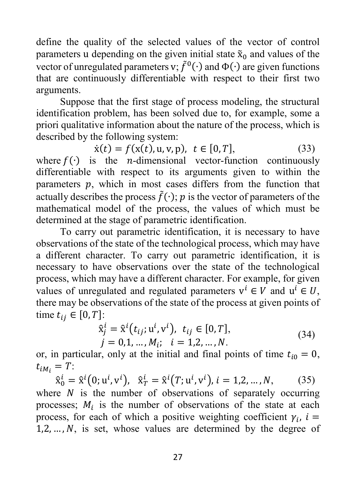define the quality of the selected values of the vector of control parameters u depending on the given initial state  $\tilde{x}_0$  and values of the vector of unregulated parameters v;  $\tilde{f}^0(\cdot)$  and  $\Phi(\cdot)$  are given functions that are continuously differentiable with respect to their first two arguments.

Suppose that the first stage of process modeling, the structural identification problem, has been solved due to, for example, some a priori qualitative information about the nature of the process, which is described by the following system:

 $\dot{x}(t) = f(x(t), u, v, p), t \in [0, T],$  (33)

where  $f(\cdot)$  is the *n*-dimensional vector-function continuously differentiable with respect to its arguments given to within the parameters  $p$ , which in most cases differs from the function that actually describes the process  $\tilde{f}(\cdot)$ ; *p* is the vector of parameters of the mathematical model of the process, the values of which must be determined at the stage of parametric identification.

To carry out parametric identification, it is necessary to have observations of the state of the technological process, which may have a different character. To carry out parametric identification, it is necessary to have observations over the state of the technological process, which may have a different character. For example, for given values of unregulated and regulated parameters  $v^i \in V$  and  $u^i \in U$ , there may be observations of the state of the process at given points of time  $t_{ij} \in [0, T]$ :

$$
\hat{x}_j^i = \hat{x}^i(t_{ij}; \mathbf{u}^i, \mathbf{v}^i), t_{ij} \in [0, T], \nj = 0, 1, ..., M_i; i = 1, 2, ..., N.
$$
\n(34)

or, in particular, only at the initial and final points of time  $t_{i0} = 0$ ,  $t_{iM_i} = T$ :

 $\hat{\mathbf{x}}_0^i = \hat{\mathbf{x}}^i(0; \mathbf{u}^i, \mathbf{v}^i), \quad \hat{\mathbf{x}}_T^i = \hat{\mathbf{x}}^i(T; \mathbf{u}^i, \mathbf{v}^i), i = 1, 2, ..., N,$  (35)

where  $N$  is the number of observations of separately occurring processes;  $M_i$  is the number of observations of the state at each process, for each of which a positive weighting coefficient  $\gamma_i$ ,  $i =$  $1, 2, \ldots, N$ , is set, whose values are determined by the degree of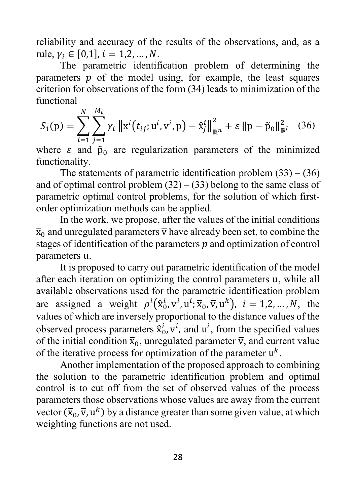reliability and accuracy of the results of the observations, and, as a rule,  $\gamma_i \in [0,1]$ ,  $i = 1,2,...,N$ .

The parametric identification problem of determining the parameters  $p$  of the model using, for example, the least squares criterion for observations of the form (34) leads to minimization of the functional

$$
S_1(p) = \sum_{i=1}^{N} \sum_{j=1}^{M_i} \gamma_i \|x^i(t_{ij}; u^i, v^i, p) - \hat{x}_j^i\|_{\mathbb{R}^n}^2 + \varepsilon \|p - \tilde{p}_0\|_{\mathbb{R}^l}^2
$$
 (36)

where  $\varepsilon$  and  $\tilde{p}_0$  are regularization parameters of the minimized functionality.

The statements of parametric identification problem  $(33) - (36)$ and of optimal control problem  $(32) - (33)$  belong to the same class of parametric optimal control problems, for the solution of which firstorder optimization methods can be applied.

In the work, we propose, after the values of the initial conditions  $\overline{x}_0$  and unregulated parameters  $\overline{v}$  have already been set, to combine the stages of identification of the parameters  $p$  and optimization of control parameters u.

It is proposed to carry out parametric identification of the model after each iteration on optimizing the control parameters u, while all available observations used for the parametric identification problem are assigned a weight  $\rho^l(\hat{x}_0^l, v^l, u^l; \overline{x}_0, \overline{v}, u^k)$ ,  $i = 1, 2, ..., N$ , the values of which are inversely proportional to the distance values of the observed process parameters  $\hat{x}_0^l$ ,  $v^l$ , and  $u^l$ , from the specified values of the initial condition  $\bar{x}_0$ , unregulated parameter  $\bar{v}$ , and current value of the iterative process for optimization of the parameter  $u^k$ .

Another implementation of the proposed approach to combining the solution to the parametric identification problem and optimal control is to cut off from the set of observed values of the process parameters those observations whose values are away from the current vector  $(\bar{x}_0, \bar{v}, u^k)$  by a distance greater than some given value, at which weighting functions are not used.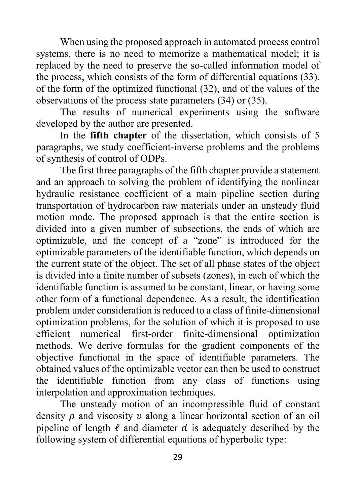When using the proposed approach in automated process control systems, there is no need to memorize a mathematical model; it is replaced by the need to preserve the so-called information model of the process, which consists of the form of differential equations (33), of the form of the optimized functional (32), and of the values of the observations of the process state parameters (34) or (35).

The results of numerical experiments using the software developed by the author are presented.

In the **fifth chapter** of the dissertation, which consists of 5 paragraphs, we study coefficient-inverse problems and the problems of synthesis of control of ODPs.

The first three paragraphs of the fifth chapter provide a statement and an approach to solving the problem of identifying the nonlinear hydraulic resistance coefficient of a main pipeline section during transportation of hydrocarbon raw materials under an unsteady fluid motion mode. The proposed approach is that the entire section is divided into a given number of subsections, the ends of which are optimizable, and the concept of a "zone" is introduced for the optimizable parameters of the identifiable function, which depends on the current state of the object. The set of all phase states of the object is divided into a finite number of subsets (zones), in each of which the identifiable function is assumed to be constant, linear, or having some other form of a functional dependence. As a result, the identification problem under consideration is reduced to a class of finite-dimensional optimization problems, for the solution of which it is proposed to use efficient numerical first-order finite-dimensional optimization methods. We derive formulas for the gradient components of the objective functional in the space of identifiable parameters. The obtained values of the optimizable vector can then be used to construct the identifiable function from any class of functions using interpolation and approximation techniques.

The unsteady motion of an incompressible fluid of constant density  $\rho$  and viscosity  $\nu$  along a linear horizontal section of an oil pipeline of length  $\ell$  and diameter  $d$  is adequately described by the following system of differential equations of hyperbolic type: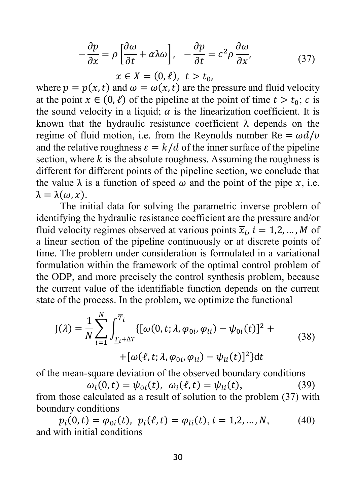$$
-\frac{\partial p}{\partial x} = \rho \left[ \frac{\partial \omega}{\partial t} + \alpha \lambda \omega \right], \quad -\frac{\partial p}{\partial t} = c^2 \rho \frac{\partial \omega}{\partial x}, \tag{37}
$$

$$
x \in X = (0, \ell), \quad t > t_0,
$$

where  $p = p(x,t)$  and  $\omega = \omega(x,t)$  are the pressure and fluid velocity at the point  $x \in (0, \ell)$  of the pipeline at the point of time  $t > t_0$ ; c is the sound velocity in a liquid;  $\alpha$  is the linearization coefficient. It is known that the hydraulic resistance coefficient  $\lambda$  depends on the regime of fluid motion, i.e. from the Reynolds number  $Re = \omega d/v$ and the relative roughness  $\varepsilon = k/d$  of the inner surface of the pipeline section, where  $k$  is the absolute roughness. Assuming the roughness is different for different points of the pipeline section, we conclude that the value  $\lambda$  is a function of speed  $\omega$  and the point of the pipe x, i.e.  $\lambda = \lambda(\omega, x)$ .

The initial data for solving the parametric inverse problem of identifying the hydraulic resistance coefficient are the pressure and/or fluid velocity regimes observed at various points  $\overline{x}_i$ ,  $i = 1,2,...,M$  of a linear section of the pipeline continuously or at discrete points of time. The problem under consideration is formulated in a variational formulation within the framework of the optimal control problem of the ODP, and more precisely the control synthesis problem, because the current value of the identifiable function depends on the current state of the process. In the problem, we optimize the functional

$$
J(\lambda) = \frac{1}{N} \sum_{i=1}^{N} \int_{\underline{T}_{i} + \Delta T}^{\overline{T}_{i}} \{ [\omega(0, t; \lambda, \varphi_{0i}, \varphi_{li}) - \psi_{0i}(t)]^{2} +
$$
  
 
$$
+ [\omega(\ell, t; \lambda, \varphi_{0i}, \varphi_{li}) - \psi_{li}(t)]^{2} \} dt
$$
 (38)

of the mean-square deviation of the observed boundary conditions

 $\omega_i(0,t) = \psi_{0i}(t), \ \omega_i(\ell,t) = \psi_{1i}(t),$  (39)

from those calculated as a result of solution to the problem (37) with boundary conditions

 $p_i(0,t) = \varphi_{0i}(t), p_i(\ell,t) = \varphi_{1i}(t), i = 1,2,...,N,$  (40) and with initial conditions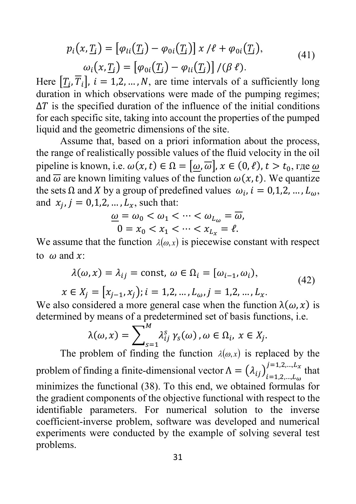$$
p_i(x, \underline{T_i}) = [\varphi_{li}(\underline{T_i}) - \varphi_{0i}(\underline{T_i})] \times / \ell + \varphi_{0i}(\underline{T_i}),
$$
  
\n
$$
\omega_i(x, \underline{T_i}) = [\varphi_{0i}(\underline{T_i}) - \varphi_{li}(\underline{T_i})] / (\beta \ell).
$$
\n(41)

Here  $[T_i, \overline{T}_i]$ ,  $i = 1, 2, ..., N$ , are time intervals of a sufficiently long duration in which observations were made of the pumping regimes;  $\Delta T$  is the specified duration of the influence of the initial conditions for each specific site, taking into account the properties of the pumped liquid and the geometric dimensions of the site.

Assume that, based on a priori information about the process, the range of realistically possible values of the fluid velocity in the oil pipeline is known, i.e.  $\omega(x,t) \in \Omega = [\omega, \overline{\omega}], x \in (0, \ell), t > t_0$ , где  $\omega$ and  $\overline{\omega}$  are known limiting values of the function  $\omega(x, t)$ . We quantize the sets  $\Omega$  and X by a group of predefined values  $\omega_i$ ,  $i = 0,1,2,..., L_{\omega}$ , and  $x_i$ ,  $j = 0,1,2,...,L_x$ , such that:

$$
\frac{\omega}{0} = \omega_0 < \omega_1 < \dots < \omega_{L_{\omega}} = \overline{\omega},
$$
\n
$$
0 = x_0 < x_1 < \dots < x_{L_x} = \ell.
$$

We assume that the function  $\lambda(\omega, x)$  is piecewise constant with respect to  $\omega$  and x:

$$
\lambda(\omega, x) = \lambda_{ij} = \text{const}, \ \omega \in \Omega_i = [\omega_{i-1}, \omega_i),
$$
\n(42)

 $x \in X_i = [x_{i-1}, x_i], i = 1, 2, ..., L_{\omega}, j = 1, 2, ..., L_{\chi}.$ 

We also considered a more general case when the function  $\lambda(\omega, x)$  is determined by means of a predetermined set of basis functions, i.e.

$$
\lambda(\omega, x) = \sum_{s=1}^{M} \lambda_{ij}^{s} \gamma_s(\omega), \omega \in \Omega_i, x \in X_j.
$$

The problem of finding the function  $\lambda(\omega, x)$  is replaced by the problem of finding a finite-dimensional vector  $\Lambda = (\lambda_{ij})_{i=1,2,...,L_{\omega}}^{\gamma}$  $=$ 1,2,..., $L_x$  that minimizes the functional (38). To this end, we obtained formulas for the gradient components of the objective functional with respect to the identifiable parameters. For numerical solution to the inverse coefficient-inverse problem, software was developed and numerical experiments were conducted by the example of solving several test problems.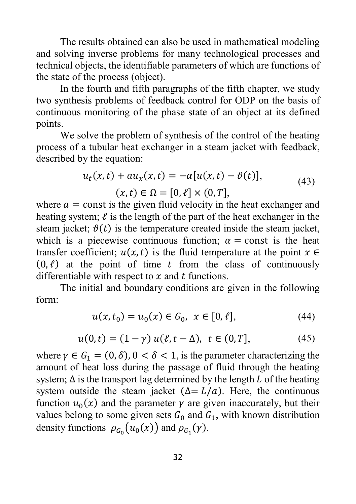The results obtained can also be used in mathematical modeling and solving inverse problems for many technological processes and technical objects, the identifiable parameters of which are functions of the state of the process (object).

In the fourth and fifth paragraphs of the fifth chapter, we study two synthesis problems of feedback control for ODP on the basis of continuous monitoring of the phase state of an object at its defined points.

We solve the problem of synthesis of the control of the heating process of a tubular heat exchanger in a steam jacket with feedback, described by the equation:

$$
u_t(x,t) + au_x(x,t) = -\alpha[u(x,t) - \vartheta(t)],
$$
  
(x,t) \in \Omega = [0, \ell] \times (0,T], (43)

where  $a = \text{const}$  is the given fluid velocity in the heat exchanger and heating system;  $\ell$  is the length of the part of the heat exchanger in the steam jacket;  $\vartheta(t)$  is the temperature created inside the steam jacket, which is a piecewise continuous function;  $\alpha$  = const is the heat transfer coefficient;  $u(x,t)$  is the fluid temperature at the point  $x \in$  $(0, \ell)$  at the point of time t from the class of continuously differentiable with respect to  $x$  and  $t$  functions.

The initial and boundary conditions are given in the following form:

$$
u(x, t_0) = u_0(x) \in G_0, \ x \in [0, \ell], \tag{44}
$$

$$
u(0,t) = (1 - \gamma) u(\ell, t - \Delta), \ t \in (0, T], \tag{45}
$$

where  $\gamma \in G_1 = (0, \delta)$ ,  $0 < \delta < 1$ , is the parameter characterizing the amount of heat loss during the passage of fluid through the heating system;  $\Delta$  is the transport lag determined by the length L of the heating system outside the steam jacket  $(\Delta = L/a)$ . Here, the continuous function  $u_0(x)$  and the parameter  $\gamma$  are given inaccurately, but their values belong to some given sets  $G_0$  and  $G_1$ , with known distribution density functions  $\rho_{G_0}(u_0(x))$  and  $\rho_{G_1}(y)$ .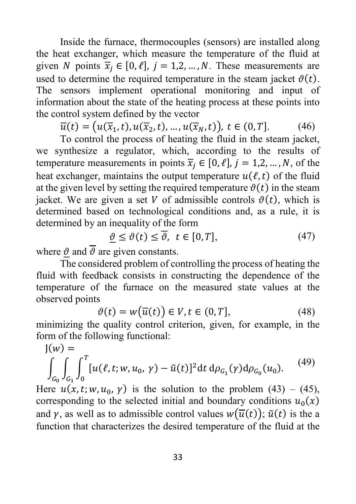Inside the furnace, thermocouples (sensors) are installed along the heat exchanger, which measure the temperature of the fluid at given N points  $\overline{x}_i \in [0, \ell], j = 1, 2, ..., N$ . These measurements are used to determine the required temperature in the steam jacket  $\vartheta(t)$ . The sensors implement operational monitoring and input of information about the state of the heating process at these points into the control system defined by the vector

 $\overline{u}(t) = (u(\overline{x}_1,t), u(\overline{x}_2,t), \dots, u(\overline{x}_N,t)), t \in (0,T].$  (46)

To control the process of heating the fluid in the steam jacket, we synthesize a regulator, which, according to the results of temperature measurements in points  $\overline{x_i} \in [0, \ell], j = 1, 2, ..., N$ , of the heat exchanger, maintains the output temperature  $u(\ell,t)$  of the fluid at the given level by setting the required temperature  $\vartheta(t)$  in the steam jacket. We are given a set V of admissible controls  $\vartheta(t)$ , which is determined based on technological conditions and, as a rule, it is determined by an inequality of the form

$$
\underline{\vartheta} \le \vartheta(t) \le \overline{\vartheta}, \ t \in [0, T], \tag{47}
$$

where  $\vartheta$  and  $\overline{\vartheta}$  are given constants.

The considered problem of controlling the process of heating the fluid with feedback consists in constructing the dependence of the temperature of the furnace on the measured state values at the observed points

$$
\vartheta(t) = w(\overline{u}(t)) \in V, t \in (0, T], \tag{48}
$$

minimizing the quality control criterion, given, for example, in the form of the following functional:

$$
J(w) = \int_{G_0} \int_{G_1} \int_0^T [u(\ell, t; w, u_0, \gamma) - \tilde{u}(t)]^2 dt d\rho_{G_1}(\gamma) d\rho_{G_0}(u_0).
$$
 (49)

Here  $u(x, t; w, u_0, \gamma)$  is the solution to the problem (43) – (45), corresponding to the selected initial and boundary conditions  $u_0(x)$ and  $\gamma$ , as well as to admissible control values  $w(\overline{u}(t)); \tilde{u}(t)$  is the a function that characterizes the desired temperature of the fluid at the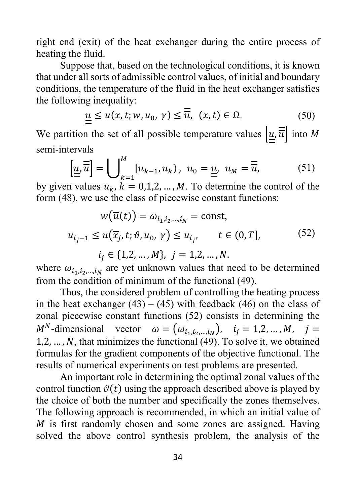right end (exit) of the heat exchanger during the entire process of heating the fluid.

Suppose that, based on the technological conditions, it is known that under all sorts of admissible control values, of initial and boundary conditions, the temperature of the fluid in the heat exchanger satisfies the following inequality:

$$
\underline{u} \le u(x, t; w, u_0, \gamma) \le \overline{\overline{u}}, \ (x, t) \in \Omega.
$$
 (50)

We partition the set of all possible temperature values  $\left| \underline{u}, \overline{u} \right|$  into M semi-intervals

$$
\left[\underline{u}, \overline{\overline{u}}\right] = \bigcup_{k=1}^{M} \left[u_{k-1}, u_k\right), \ u_0 = \underline{u}, \ u_M = \overline{\overline{u}}, \tag{51}
$$

by given values  $u_k$ ,  $k = 0,1,2,...,M$ . To determine the control of the form (48), we use the class of piecewise constant functions:

$$
w(\overline{u}(t)) = \omega_{i_1, i_2, \dots, i_N} = \text{const},
$$
  

$$
u_{i_j - 1} \le u(\overline{x}_j, t; \vartheta, u_0, \gamma) \le u_{i_j}, \qquad t \in (0, T],
$$
  

$$
i_j \in \{1, 2, \dots, M\}, \quad j = 1, 2, \dots, N.
$$
 (52)

where  $\omega_{i_1,i_2,...,i_N}$  are yet unknown values that need to be determined from the condition of minimum of the functional (49).

Thus, the considered problem of controlling the heating process in the heat exchanger  $(43) - (45)$  with feedback  $(46)$  on the class of zonal piecewise constant functions (52) consists in determining the  $M^N$ -dimensional vector  $\omega = (\omega_{i_1,i_2,\dots,i_N}), i_j = 1,2,\dots,M, j =$  $1, 2, \ldots, N$ , that minimizes the functional (49). To solve it, we obtained formulas for the gradient components of the objective functional. The results of numerical experiments on test problems are presented.

An important role in determining the optimal zonal values of the control function  $\vartheta(t)$  using the approach described above is played by the choice of both the number and specifically the zones themselves. The following approach is recommended, in which an initial value of  $M$  is first randomly chosen and some zones are assigned. Having solved the above control synthesis problem, the analysis of the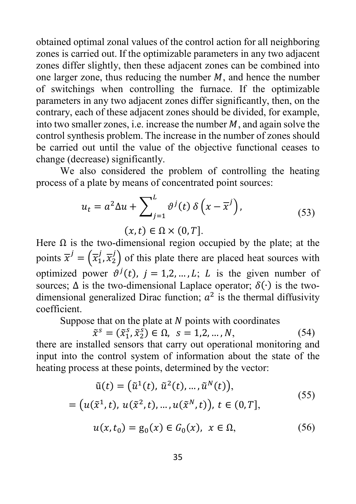obtained optimal zonal values of the control action for all neighboring zones is carried out. If the optimizable parameters in any two adjacent zones differ slightly, then these adjacent zones can be combined into one larger zone, thus reducing the number  $M$ , and hence the number of switchings when controlling the furnace. If the optimizable parameters in any two adjacent zones differ significantly, then, on the contrary, each of these adjacent zones should be divided, for example, into two smaller zones, i.e. increase the number  $M$ , and again solve the control synthesis problem. The increase in the number of zones should be carried out until the value of the objective functional ceases to change (decrease) significantly.

We also considered the problem of controlling the heating process of a plate by means of concentrated point sources:

$$
u_t = a^2 \Delta u + \sum_{j=1}^{L} \vartheta^j(t) \delta \left( x - \overline{x}^j \right),\tag{53}
$$

 $(x,t) \in \Omega \times (0,T$ .

Here  $\Omega$  is the two-dimensional region occupied by the plate; at the points  $\overline{x}^j = (\overline{x}_1^j, \overline{x}_2^j)$  of this plate there are placed heat sources with optimized power  $\vartheta^{j}(t)$ ,  $j = 1, 2, ..., L$ ; L is the given number of sources;  $\Delta$  is the two-dimensional Laplace operator;  $\delta(\cdot)$  is the twodimensional generalized Dirac function;  $a^2$  is the thermal diffusivity coefficient.

Suppose that on the plate at  $N$  points with coordinates

 $\tilde{x}^s = (\tilde{x}_1^s, \tilde{x}_2^s) \in \Omega, \ s = 1, 2, ..., N,$  (54)

there are installed sensors that carry out operational monitoring and input into the control system of information about the state of the heating process at these points, determined by the vector:

$$
\tilde{u}(t) = (\tilde{u}^{1}(t), \tilde{u}^{2}(t), ..., \tilde{u}^{N}(t)),
$$
\n
$$
= (u(\tilde{x}^{1}, t), u(\tilde{x}^{2}, t), ..., u(\tilde{x}^{N}, t)), t \in (0, T],
$$
\n
$$
u(x, t_{0}) = g_{0}(x) \in G_{0}(x), x \in \Omega,
$$
\n(56)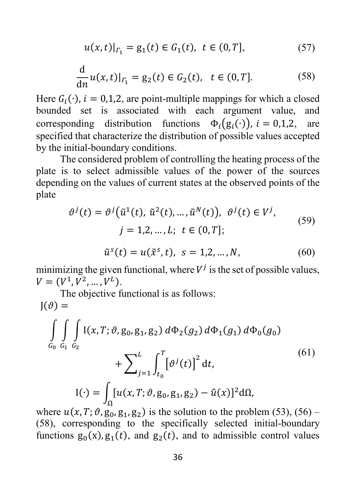$$
u(x,t)|_{\Gamma_1} = g_1(t) \in G_1(t), \ t \in (0,T], \tag{57}
$$

$$
\frac{d}{dn}u(x,t)|_{\Gamma_1} = g_2(t) \in G_2(t), \quad t \in (0,T].
$$
 (58)

Here  $G_i(\cdot)$ ,  $i = 0,1,2$ , are point-multiple mappings for which a closed bounded set is associated with each argument value, and bounded set is associated with each argument value, corresponding distribution functions  $\Phi_i(g_i(\cdot))$ ,  $i = 0,1,2$ , are specified that characterize the distribution of possible values accepted by the initial-boundary conditions.

The considered problem of controlling the heating process of the plate is to select admissible values of the power of the sources depending on the values of current states at the observed points of the plate

$$
\vartheta^{j}(t) = \vartheta^{j}(\tilde{u}^{1}(t), \tilde{u}^{2}(t), ..., \tilde{u}^{N}(t)), \vartheta^{j}(t) \in V^{j},
$$
  
\n
$$
j = 1, 2, ..., L; \ t \in (0, T];
$$
  
\n
$$
\tilde{u}^{s}(t) = u(\tilde{x}^{s}, t), \ s = 1, 2, ..., N,
$$
 (60)

minimizing the given functional, where  $V^j$  is the set of possible values,  $V = (V^1, V^2, \ldots, V^L).$ 

The objective functional is as follows:  $J(\vartheta) =$ 

$$
\int_{G_0} \int_{G_1} \int_{G_2} I(x, T; \vartheta, g_0, g_1, g_2) d\Phi_2(g_2) d\Phi_1(g_1) d\Phi_0(g_0)
$$
  
+ 
$$
\sum_{j=1}^{L} \int_{t_0}^{T} [\vartheta^j(t)]^2 dt,
$$
  

$$
I(\cdot) = \int_{\Omega} [u(x, T; \vartheta, g_0, g_1, g_2) - \hat{u}(x)]^2 d\Omega,
$$
 (61)

where  $u(x, T; \vartheta, g_0, g_1, g_2)$  is the solution to the problem (53), (56) – (58), corresponding to the specifically selected initial-boundary functions  $g_0(x)$ ,  $g_1(t)$ , and  $g_2(t)$ , and to admissible control values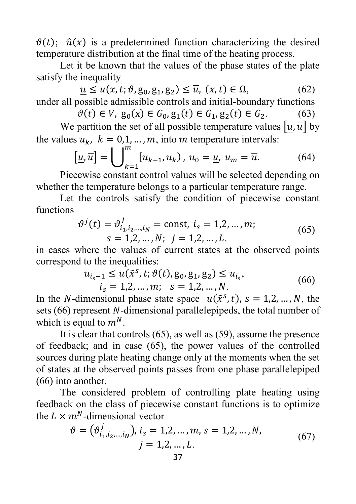$\vartheta(t)$ ;  $\hat{u}(x)$  is a predetermined function characterizing the desired temperature distribution at the final time of the heating process.

Let it be known that the values of the phase states of the plate satisfy the inequality

 $u \leq u(x, t; \vartheta, g_0, g_1, g_2) \leq \overline{u}, (x, t) \in \Omega,$  (62) under all possible admissible controls and initial-boundary functions

 $\vartheta(t) \in V$ ,  $g_0(x) \in G_0$ ,  $g_1(t) \in G_1$ ,  $g_2(t) \in G_2$ . (63)

We partition the set of all possible temperature values  $[u, \overline{u}]$  by the values  $u_k$ ,  $k = 0,1, ..., m$ , into m temperature intervals:

$$
\left[\underline{u}, \overline{u}\right] = \bigcup_{k=1}^{m} \left[u_{k-1}, u_k\right), \ u_0 = \underline{u}, \ u_m = \overline{u}.\tag{64}
$$

Piecewise constant control values will be selected depending on whether the temperature belongs to a particular temperature range.

Let the controls satisfy the condition of piecewise constant functions

$$
\vartheta^{j}(t) = \vartheta^{j}_{i_{1}, i_{2}, \dots, i_{N}} = \text{const}, i_{s} = 1, 2, \dots, m; s = 1, 2, \dots, N; j = 1, 2, \dots, L.
$$
 (65)

in cases where the values of current states at the observed points correspond to the inequalities:

$$
u_{i_s-1} \le u(\tilde{x}^s, t; \vartheta(t), g_0, g_1, g_2) \le u_{i_s},
$$
  
\n
$$
i_s = 1, 2, ..., m; \quad s = 1, 2, ..., N.
$$
\n(66)

In the *N*-dimensional phase state space  $u(\tilde{x}^s, t)$ ,  $s = 1,2, ..., N$ , the sets  $(66)$  represent N-dimensional parallelepipeds, the total number of which is equal to  $m^N$ .

It is clear that controls (65), as well as (59), assume the presence of feedback; and in case (65), the power values of the controlled sources during plate heating change only at the moments when the set of states at the observed points passes from one phase parallelepiped (66) into another.

The considered problem of controlling plate heating using feedback on the class of piecewise constant functions is to optimize the  $L \times m^N$ -dimensional vector

$$
\vartheta = (\vartheta_{i_1, i_2, \dots, i_N}^j), i_s = 1, 2, \dots, m, s = 1, 2, \dots, N,
$$
  

$$
j = 1, 2, \dots, L.
$$
 (67)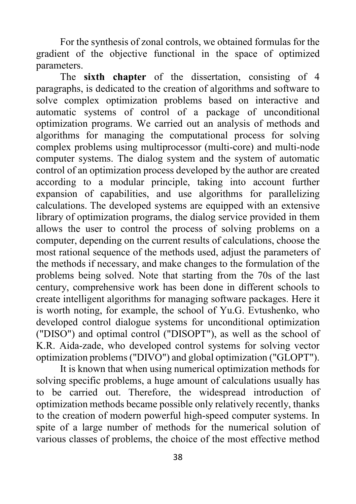For the synthesis of zonal controls, we obtained formulas for the gradient of the objective functional in the space of optimized parameters.

The **sixth chapter** of the dissertation, consisting of 4 paragraphs, is dedicated to the creation of algorithms and software to solve complex optimization problems based on interactive and automatic systems of control of a package of unconditional optimization programs. We carried out an analysis of methods and algorithms for managing the computational process for solving complex problems using multiprocessor (multi-core) and multi-node computer systems. The dialog system and the system of automatic control of an optimization process developed by the author are created according to a modular principle, taking into account further expansion of capabilities, and use algorithms for parallelizing calculations. The developed systems are equipped with an extensive library of optimization programs, the dialog service provided in them allows the user to control the process of solving problems on a computer, depending on the current results of calculations, choose the most rational sequence of the methods used, adjust the parameters of the methods if necessary, and make changes to the formulation of the problems being solved. Note that starting from the 70s of the last century, comprehensive work has been done in different schools to create intelligent algorithms for managing software packages. Here it is worth noting, for example, the school of Yu.G. Evtushenko, who developed control dialogue systems for unconditional optimization ("DISO") and optimal control ("DISOPT"), as well as the school of K.R. Aida-zade, who developed control systems for solving vector optimization problems ("DIVO") and global optimization ("GLOPT").

It is known that when using numerical optimization methods for solving specific problems, a huge amount of calculations usually has to be carried out. Therefore, the widespread introduction of optimization methods became possible only relatively recently, thanks to the creation of modern powerful high-speed computer systems. In spite of a large number of methods for the numerical solution of various classes of problems, the choice of the most effective method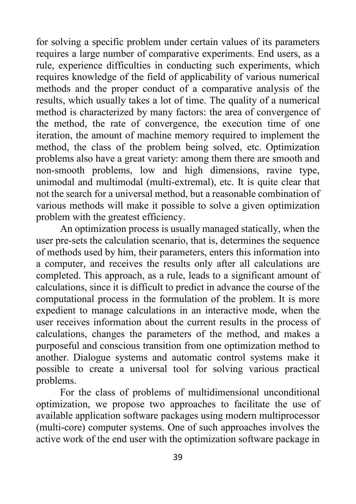for solving a specific problem under certain values of its parameters requires a large number of comparative experiments. End users, as a rule, experience difficulties in conducting such experiments, which requires knowledge of the field of applicability of various numerical methods and the proper conduct of a comparative analysis of the results, which usually takes a lot of time. The quality of a numerical method is characterized by many factors: the area of convergence of the method, the rate of convergence, the execution time of one iteration, the amount of machine memory required to implement the method, the class of the problem being solved, etc. Optimization problems also have a great variety: among them there are smooth and non-smooth problems, low and high dimensions, ravine type, unimodal and multimodal (multi-extremal), etc. It is quite clear that not the search for a universal method, but a reasonable combination of various methods will make it possible to solve a given optimization problem with the greatest efficiency.

An optimization process is usually managed statically, when the user pre-sets the calculation scenario, that is, determines the sequence of methods used by him, their parameters, enters this information into a computer, and receives the results only after all calculations are completed. This approach, as a rule, leads to a significant amount of calculations, since it is difficult to predict in advance the course of the computational process in the formulation of the problem. It is more expedient to manage calculations in an interactive mode, when the user receives information about the current results in the process of calculations, changes the parameters of the method, and makes a purposeful and conscious transition from one optimization method to another. Dialogue systems and automatic control systems make it possible to create a universal tool for solving various practical problems.

For the class of problems of multidimensional unconditional optimization, we propose two approaches to facilitate the use of available application software packages using modern multiprocessor (multi-core) computer systems. One of such approaches involves the active work of the end user with the optimization software package in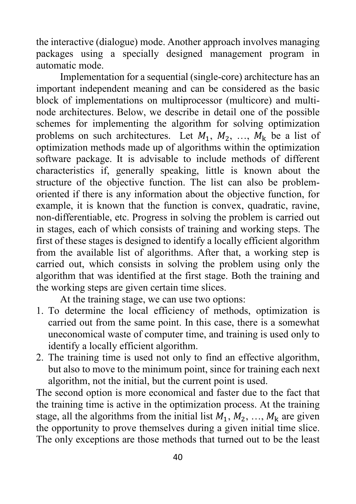the interactive (dialogue) mode. Another approach involves managing packages using a specially designed management program in automatic mode.

Implementation for a sequential (single-core) architecture has an important independent meaning and can be considered as the basic block of implementations on multiprocessor (multicore) and multinode architectures. Below, we describe in detail one of the possible schemes for implementing the algorithm for solving optimization problems on such architectures. Let  $M_1, M_2, \ldots, M_k$  be a list of optimization methods made up of algorithms within the optimization software package. It is advisable to include methods of different characteristics if, generally speaking, little is known about the structure of the objective function. The list can also be problemoriented if there is any information about the objective function, for example, it is known that the function is convex, quadratic, ravine, non-differentiable, etc. Progress in solving the problem is carried out in stages, each of which consists of training and working steps. The first of these stages is designed to identify a locally efficient algorithm from the available list of algorithms. After that, a working step is carried out, which consists in solving the problem using only the algorithm that was identified at the first stage. Both the training and the working steps are given certain time slices.

At the training stage, we can use two options:

- 1. To determine the local efficiency of methods, optimization is carried out from the same point. In this case, there is a somewhat uneconomical waste of computer time, and training is used only to identify a locally efficient algorithm.
- 2. The training time is used not only to find an effective algorithm, but also to move to the minimum point, since for training each next algorithm, not the initial, but the current point is used.

The second option is more economical and faster due to the fact that the training time is active in the optimization process. At the training stage, all the algorithms from the initial list  $M_1, M_2, ..., M_k$  are given the opportunity to prove themselves during a given initial time slice. The only exceptions are those methods that turned out to be the least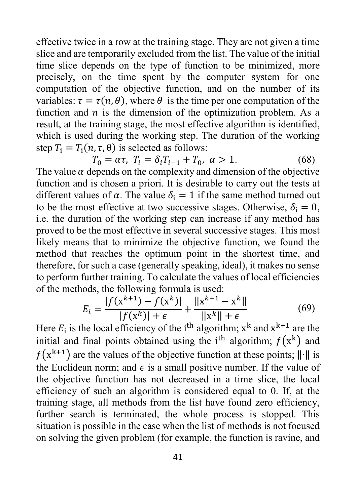effective twice in a row at the training stage. They are not given a time slice and are temporarily excluded from the list. The value of the initial time slice depends on the type of function to be minimized, more precisely, on the time spent by the computer system for one computation of the objective function, and on the number of its variables:  $\tau = \tau(n, \theta)$ , where  $\theta$  is the time per one computation of the function and  $n$  is the dimension of the optimization problem. As a result, at the training stage, the most effective algorithm is identified, which is used during the working step. The duration of the working step  $T_i = T_i(n, \tau, \theta)$  is selected as follows:

 $T_0 = \alpha \tau$ ,  $T_i = \delta_i T_{i-1} + T_0$ ,  $\alpha > 1$ . (68) The value  $\alpha$  depends on the complexity and dimension of the objective function and is chosen a priori. It is desirable to carry out the tests at different values of  $\alpha$ . The value  $\delta_i = 1$  if the same method turned out to be the most effective at two successive stages. Otherwise,  $\delta_i = 0$ , i.e. the duration of the working step can increase if any method has proved to be the most effective in several successive stages. This most likely means that to minimize the objective function, we found the method that reaches the optimum point in the shortest time, and therefore, for such a case (generally speaking, ideal), it makes no sense to perform further training. To calculate the values of local efficiencies of the methods, the following formula is used:

$$
E_{i} = \frac{|f(x^{k+1}) - f(x^{k})|}{|f(x^{k})| + \epsilon} + \frac{||x^{k+1} - x^{k}||}{||x^{k}|| + \epsilon}
$$
(69)

Here  $E_i$  is the local efficiency of the i<sup>th</sup> algorithm;  $x^k$  and  $x^{k+1}$  are the initial and final points obtained using the i<sup>th</sup> algorithm;  $f(x<sup>K</sup>)$  and  $f(x^{k+1})$  are the values of the objective function at these points;  $\|\cdot\|$  is the Euclidean norm; and  $\epsilon$  is a small positive number. If the value of the objective function has not decreased in a time slice, the local efficiency of such an algorithm is considered equal to 0. If, at the training stage, all methods from the list have found zero efficiency, further search is terminated, the whole process is stopped. This situation is possible in the case when the list of methods is not focused on solving the given problem (for example, the function is ravine, and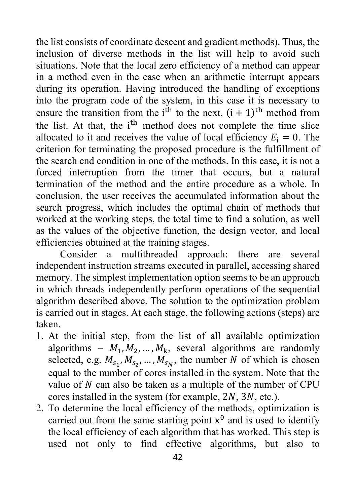the list consists of coordinate descent and gradient methods). Thus, the inclusion of diverse methods in the list will help to avoid such situations. Note that the local zero efficiency of a method can appear in a method even in the case when an arithmetic interrupt appears during its operation. Having introduced the handling of exceptions into the program code of the system, in this case it is necessary to ensure the transition from the i<sup>th</sup> to the next,  $(i + 1)$ <sup>th</sup> method from the list. At that, the i<sup>th</sup> method does not complete the time slice allocated to it and receives the value of local efficiency  $E_i = 0$ . The criterion for terminating the proposed procedure is the fulfillment of the search end condition in one of the methods. In this case, it is not a forced interruption from the timer that occurs, but a natural termination of the method and the entire procedure as a whole. In conclusion, the user receives the accumulated information about the search progress, which includes the optimal chain of methods that worked at the working steps, the total time to find a solution, as well as the values of the objective function, the design vector, and local efficiencies obtained at the training stages.

Consider a multithreaded approach: there are several independent instruction streams executed in parallel, accessing shared memory. The simplest implementation option seems to be an approach in which threads independently perform operations of the sequential algorithm described above. The solution to the optimization problem is carried out in stages. At each stage, the following actions (steps) are taken.

- 1. At the initial step, from the list of all available optimization algorithms –  $M_1, M_2, ..., M_k$ , several algorithms are randomly selected, e.g.  $M_{s_1}, M_{s_2}, \ldots, M_{s_N}$ , the number N of which is chosen equal to the number of cores installed in the system. Note that the value of  $N$  can also be taken as a multiple of the number of CPU cores installed in the system (for example,  $2N$ ,  $3N$ , etc.).
- 2. To determine the local efficiency of the methods, optimization is carried out from the same starting point  $x^0$  and is used to identify the local efficiency of each algorithm that has worked. This step is used not only to find effective algorithms, but also to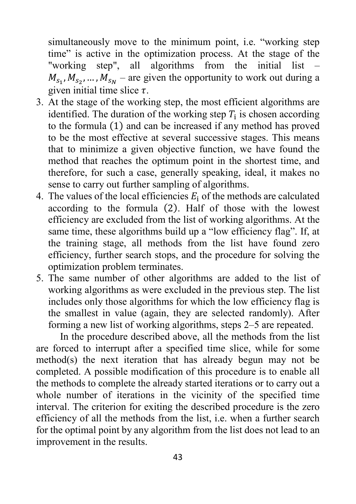simultaneously move to the minimum point, i.e. "working step time" is active in the optimization process. At the stage of the "working step", all algorithms from the initial list –  $M_{s_1}, M_{s_2}, ..., M_{s_N}$  – are given the opportunity to work out during a given initial time slice  $\tau$ .

- 3. At the stage of the working step, the most efficient algorithms are identified. The duration of the working step  $T_i$  is chosen according to the formula (1) and can be increased if any method has proved to be the most effective at several successive stages. This means that to minimize a given objective function, we have found the method that reaches the optimum point in the shortest time, and therefore, for such a case, generally speaking, ideal, it makes no sense to carry out further sampling of algorithms.
- 4. The values of the local efficiencies  $E_i$  of the methods are calculated according to the formula (2). Half of those with the lowest efficiency are excluded from the list of working algorithms. At the same time, these algorithms build up a "low efficiency flag". If, at the training stage, all methods from the list have found zero efficiency, further search stops, and the procedure for solving the optimization problem terminates.
- 5. The same number of other algorithms are added to the list of working algorithms as were excluded in the previous step. The list includes only those algorithms for which the low efficiency flag is the smallest in value (again, they are selected randomly). After forming a new list of working algorithms, steps 2–5 are repeated.

In the procedure described above, all the methods from the list are forced to interrupt after a specified time slice, while for some method(s) the next iteration that has already begun may not be completed. A possible modification of this procedure is to enable all the methods to complete the already started iterations or to carry out a whole number of iterations in the vicinity of the specified time interval. The criterion for exiting the described procedure is the zero efficiency of all the methods from the list, i.e. when a further search for the optimal point by any algorithm from the list does not lead to an improvement in the results.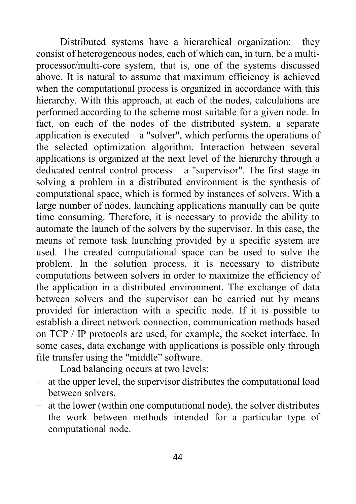Distributed systems have a hierarchical organization: they consist of heterogeneous nodes, each of which can, in turn, be a multiprocessor/multi-core system, that is, one of the systems discussed above. It is natural to assume that maximum efficiency is achieved when the computational process is organized in accordance with this hierarchy. With this approach, at each of the nodes, calculations are performed according to the scheme most suitable for a given node. In fact, on each of the nodes of the distributed system, a separate application is executed  $-$  a "solver", which performs the operations of the selected optimization algorithm. Interaction between several applications is organized at the next level of the hierarchy through a dedicated central control process – a "supervisor". The first stage in solving a problem in a distributed environment is the synthesis of computational space, which is formed by instances of solvers. With a large number of nodes, launching applications manually can be quite time consuming. Therefore, it is necessary to provide the ability to automate the launch of the solvers by the supervisor. In this case, the means of remote task launching provided by a specific system are used. The created computational space can be used to solve the problem. In the solution process, it is necessary to distribute computations between solvers in order to maximize the efficiency of the application in a distributed environment. The exchange of data between solvers and the supervisor can be carried out by means provided for interaction with a specific node. If it is possible to establish a direct network connection, communication methods based on TCP / IP protocols are used, for example, the socket interface. In some cases, data exchange with applications is possible only through file transfer using the "middle" software.

Load balancing occurs at two levels:

- − at the upper level, the supervisor distributes the computational load between solvers.
- − at the lower (within one computational node), the solver distributes the work between methods intended for a particular type of computational node.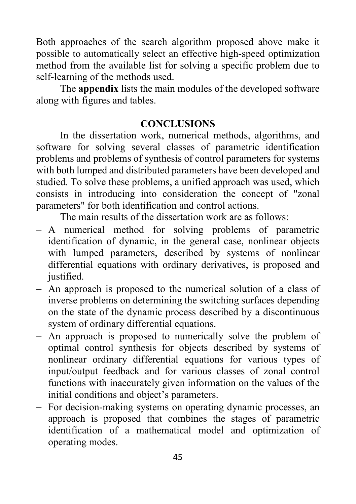Both approaches of the search algorithm proposed above make it possible to automatically select an effective high-speed optimization method from the available list for solving a specific problem due to self-learning of the methods used.

The **appendix** lists the main modules of the developed software along with figures and tables.

### **CONCLUSIONS**

In the dissertation work, numerical methods, algorithms, and software for solving several classes of parametric identification problems and problems of synthesis of control parameters for systems with both lumped and distributed parameters have been developed and studied. To solve these problems, a unified approach was used, which consists in introducing into consideration the concept of "zonal parameters" for both identification and control actions.

The main results of the dissertation work are as follows:

- − A numerical method for solving problems of parametric identification of dynamic, in the general case, nonlinear objects with lumped parameters, described by systems of nonlinear differential equations with ordinary derivatives, is proposed and justified.
- − An approach is proposed to the numerical solution of a class of inverse problems on determining the switching surfaces depending on the state of the dynamic process described by a discontinuous system of ordinary differential equations.
- − An approach is proposed to numerically solve the problem of optimal control synthesis for objects described by systems of nonlinear ordinary differential equations for various types of input/output feedback and for various classes of zonal control functions with inaccurately given information on the values of the initial conditions and object's parameters.
- − For decision-making systems on operating dynamic processes, an approach is proposed that combines the stages of parametric identification of a mathematical model and optimization of operating modes.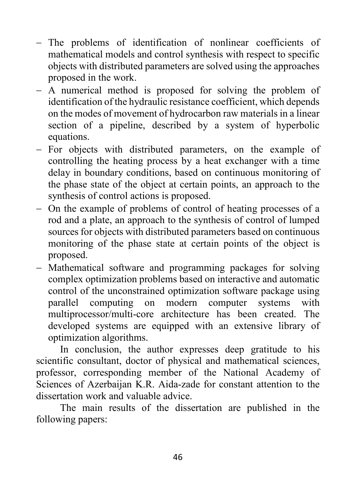- − The problems of identification of nonlinear coefficients of mathematical models and control synthesis with respect to specific objects with distributed parameters are solved using the approaches proposed in the work.
- − A numerical method is proposed for solving the problem of identification of the hydraulic resistance coefficient, which depends on the modes of movement of hydrocarbon raw materials in a linear section of a pipeline, described by a system of hyperbolic equations.
- − For objects with distributed parameters, on the example of controlling the heating process by a heat exchanger with a time delay in boundary conditions, based on continuous monitoring of the phase state of the object at certain points, an approach to the synthesis of control actions is proposed.
- − On the example of problems of control of heating processes of a rod and a plate, an approach to the synthesis of control of lumped sources for objects with distributed parameters based on continuous monitoring of the phase state at certain points of the object is proposed.
- − Mathematical software and programming packages for solving complex optimization problems based on interactive and automatic control of the unconstrained optimization software package using parallel computing on modern computer systems with multiprocessor/multi-core architecture has been created. The developed systems are equipped with an extensive library of optimization algorithms.

In conclusion, the author expresses deep gratitude to his scientific consultant, doctor of physical and mathematical sciences, professor, corresponding member of the National Academy of Sciences of Azerbaijan K.R. Aida-zade for constant attention to the dissertation work and valuable advice.

The main results of the dissertation are published in the following papers: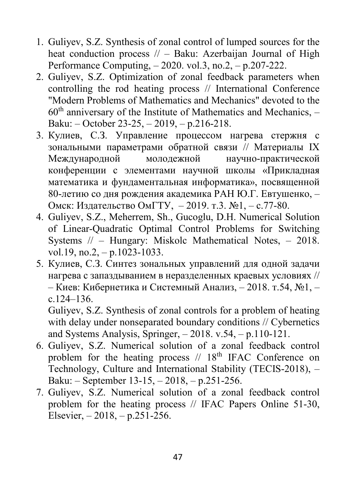- 1. Guliyev, S.Z. Synthesis of zonal control of lumped sources for the heat conduction process // – Baku: Azerbaijan Journal of High Performance Computing, – 2020. vol.3, no.2, – p.207-222.
- 2. Guliyev, S.Z. Optimization of zonal feedback parameters when controlling the rod heating process // International Conference "Modern Problems of Mathematics and Mechanics" devoted to the  $60<sup>th</sup>$  anniversary of the Institute of Mathematics and Mechanics,  $-$ Baku: – October 23-25, – 2019, – p.216-218.
- 3. Кулиев, С.З. Управление процессом нагрева стержня с зональными параметрами обратной связи // Материалы IX Международной молодежной научно-практической конференции с элементами научной школы «Прикладная математика и фундаментальная информатика», посвященной 80-летию со дня рождения академика РАН Ю.Г. Евтушенко, – Омск: Издательство [ОмГТУ,](https://www.elibrary.ru/publisher_books.asp?publishid=1647) – 2019. т.3. №1, – с.77-80.
- 4. Guliyev, S.Z., Meherrem, Sh., Gucoglu, D.H. Numerical Solution of Linear-Quadratic Optimal Control Problems for Switching Systems // – Hungary: Miskolc Mathematical Notes, – 2018. vol.19, no.2,  $-$  p.1023-1033.
- 5. Кулиев, С.З. Синтез зональных управлений для одной задачи нагрева с запаздыванием в неразделенных краевых условиях // – Киев: Кибернетика и Системный Анализ, – 2018. т.54, №1, – с.124–136.

Guliyev, S.Z. Synthesis of zonal controls for a problem of heating with delay under nonseparated boundary conditions // Cybernetics and Systems Analysis, Springer, – 2018. v.54, – p.110-121.

- 6. Guliyev, S.Z. Numerical solution of a zonal feedback control problem for the heating process  $// 18<sup>th</sup> IFAC Conference on$ Technology, Culture and International Stability (TECIS-2018), – Baku: – September 13-15, – 2018, – p.251-256.
- 7. Guliyev, S.Z. Numerical solution of a zonal feedback control problem for the heating process // IFAC Papers Online 51-30, Elsevier, – 2018, – p.251-256.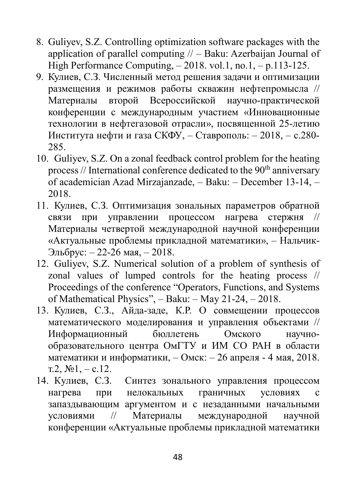- 8. Guliyev, S.Z. Controlling optimization software packages with the application of parallel computing  $//$  – Baku: Azerbaijan Journal of High Performance Computing,  $-2018$ . vol.1, no.1,  $- p.113-125$ .
- 9. Кулиев, С.З. Численный метод решения задачи и оптимизации размещения и режимов работы скважин нефтепромысла // Материалы второй Всероссийской научно-практической конференции с международным участием «Инновационные технологии в нефтегазовой отрасли», посвященной 25-летию Института нефти и газа СКФУ, – Ставрополь: – 2018, – с.280- 285.
- 10. Guliyev, S.Z. On a zonal feedback control problem for the heating process // International conference dedicated to the  $90<sup>th</sup>$  anniversary of academician Azad Mirzajanzade, – Baku: – December 13-14, – 2018.
- 11. Кулиев, С.З. Оптимизация зональных параметров обратной связи при управлении процессом нагрева стержня // Материалы четвертой международной научной конференции «Актуальные проблемы прикладной математики», – Нальчик-Эльбрус: – 22-26 мая, – 2018.
- 12. Guliyev, S.Z. Numerical solution of a problem of synthesis of zonal values of lumped controls for the heating process // Proceedings of the conference "Operators, Functions, and Systems of Mathematical Physics", – Baku: – May 21-24, – 2018.
- 13. Кулиев, С.З., Айда-заде, К.Р. О совмещении процессов математического моделирования и управления объектами // Информационный бюллетень Омского научнообразовательного центра ОмГТУ и ИМ СО РАН в области математики и информатики, – Омск: – 26 апреля - 4 мая, 2018. т.2,  $N_2$ 1, – с.12.
- 14. Кулиев, С.З. Синтез зонального управления процессом нагрева при нелокальных граничных условиях с запаздывающим аргументом и с незаданными начальными условиями // Материалы международной научной конференции «Актуальные проблемы прикладной математики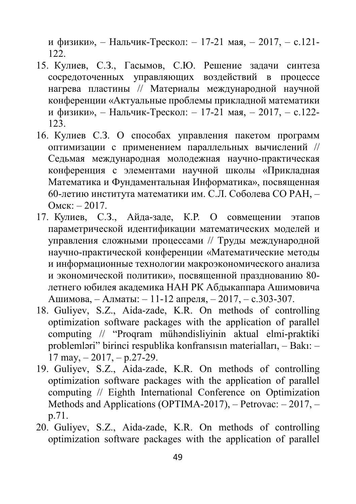и физики», – Нальчик-Трескол: – 17-21 мая, – 2017, – с.121- 122.

- 15. Кулиев, С.З., Гасымов, С.Ю. Решение задачи синтеза сосредоточенных управляющих воздействий в процессе нагрева пластины // Материалы международной научной конференции «Актуальные проблемы прикладной математики и физики», – Нальчик-Трескол: – 17-21 мая, – 2017, – с.122- 123.
- 16. Кулиев С.З. О способах управления пакетом программ оптимизации с применением параллельных вычислений // Седьмая международная молодежная научно-практическая конференция с элементами научной школы «Прикладная Математика и Фундаментальная Информатика», посвященная 60-летию института математики им. С.Л. Соболева СО РАН, – Омск: – 2017.
- 17. Кулиев, С.З., Айда-заде, К.Р. О совмещении этапов параметрической идентификации математических моделей и управления сложными процессами // Труды международной научно-практической конференции «Математические методы и информационные технологии макроэкономического анализа и экономической политики», посвященной празднованию 80 летнего юбилея академика НАН РК Абдыкаппара Ашимовича Ашимова, – Алматы: – 11-12 апреля, – 2017, – с.303-307.
- 18. Guliyev, S.Z., Aida-zade, K.R. On methods of controlling optimization software packages with the application of parallel computing // "Proqram mühəndisliyinin aktual elmi-praktiki problemləri" birinci respublika konfransısın materialları, – Bakı: –  $17 \text{ may}, -2017, -p.27-29.$
- 19. Guliyev, S.Z., Aida-zade, K.R. On methods of controlling optimization software packages with the application of parallel computing // Eighth International Conference on Optimization Methods and Applications (OPTIMA-2017), – Petrovac: – 2017, – p.71.
- 20. Guliyev, S.Z., Aida-zade, K.R. On methods of controlling optimization software packages with the application of parallel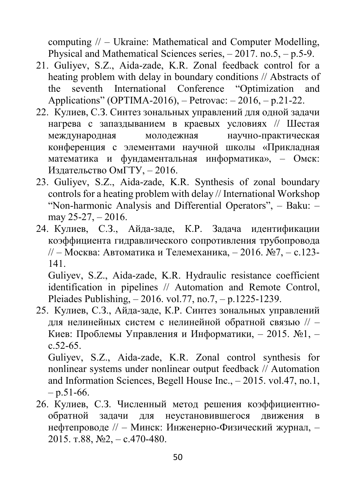computing // – Ukraine: Mathematical and Computer Modelling, Physical and Mathematical Sciences series, – 2017. no.5, – p.5-9.

- 21. Guliyev, S.Z., Aida-zade, K.R. Zonal feedback control for a heating problem with delay in boundary conditions // Abstracts of the seventh International Conference "Optimization and Applications" (OPTIMA-2016), – Petrovac: – 2016, – p.21-22.
- 22. Кулиев, С.З. Синтез зональных управлений для одной задачи нагрева с запаздыванием в краевых условиях // Шестая международная молодежная научно-практическая конференция с элементами научной школы «Прикладная математика и фундаментальная информатика», – Омск: Издательство ОмГТУ, – 2016.
- 23. Guliyev, S.Z., Aida-zade, K.R. Synthesis of zonal boundary controls for a heating problem with delay // International Workshop "Non-harmonic Analysis and Differential Operators", – Baku: – may 25-27, – 2016.
- 24. Кулиев, С.З., Айда-заде, К.Р. Задача идентификации коэффициента гидравлического сопротивления трубопровода // – Москва: Автоматика и Телемеханика, – 2016. №7, – с.123- 141.

Guliyev, S.Z., Aida-zade, K.R. Hydraulic resistance coefficient identification in pipelines // Automation and Remote Control, Pleiades Publishing, – 2016. vol.77, no.7, – p.1225-1239.

25. Кулиев, С.З., Айда-заде, К.Р. Синтез зональных управлений для нелинейных систем с нелинейной обратной связью // – Киев: Проблемы Управления и Информатики, – 2015. №1, – с.52-65.

Guliyev, S.Z., Aida-zade, K.R. Zonal control synthesis for nonlinear systems under nonlinear output feedback // Automation and Information Sciences, Begell House Inc., – 2015. vol.47, no.1,  $-$  p.51-66.

26. Кулиев, С.З. Численный метод решения коэффициентнообратной задачи для неустановившегося движения в нефтепроводе // – Минск: Инженерно-Физический журнал, – 2015. т.88, №2, – с.470-480.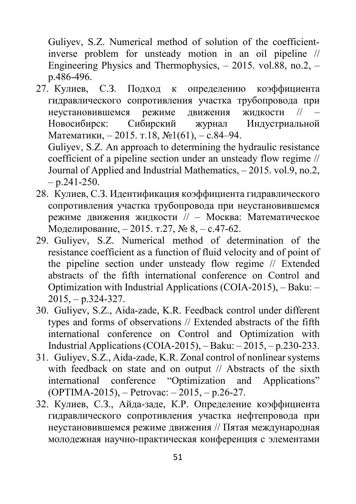Guliyev, S.Z. Numerical method of solution of the coefficientinverse problem for unsteady motion in an oil pipeline // Engineering Physics and Thermophysics, – 2015. vol.88, no.2, – p.486-496.

27. Кулиев, С.З. Подход к определению коэффициента гидравлического сопротивления участка трубопровода при неустановившемся режиме движения жидкости // – Новосибирск: Сибирский журнал Индустриальной Математики, – 2015. т.18, №1(61), – с.84–94.

Guliyev, S.Z. An approach to determining the hydraulic resistance coefficient of a pipeline section under an unsteady flow regime // Journal of Applied and Industrial Mathematics, – 2015. vol.9, no.2,  $- p.241 - 250.$ 

- 28. Кулиев, С.З. Идентификация коэффициента гидравлического сопротивления участка трубопровода при неустановившемся режиме движения жидкости // – Москва: Математическое Моделирование, – 2015. т.27, № 8, – с.47-62.
- 29. Guliyev, S.Z. Numerical method of determination of the resistance coefficient as a function of fluid velocity and of point of the pipeline section under unsteady flow regime // Extended abstracts of the fifth international conference on Control and Optimization with Industrial Applications (COIA-2015), – Baku: – 2015, – p.324-327.
- 30. Guliyev, S.Z., Aida-zade, K.R. Feedback control under different types and forms of observations // Extended abstracts of the fifth international conference on Control and Optimization with Industrial Applications (COIA-2015), – Baku: – 2015, – p.230-233.
- 31. Guliyev, S.Z., Aida-zade, K.R. Zonal control of nonlinear systems with feedback on state and on output // Abstracts of the sixth international conference "Optimization and Applications" (OPTIMA-2015), – Petrovac: – 2015, – p.26-27.
- 32. Кулиев, С.З., Айда-заде, К.Р. Определение коэффициента гидравлического сопротивления участка нефтепровода при неустановившемся режиме движения // Пятая международная молодежная научно-практическая конференция с элементами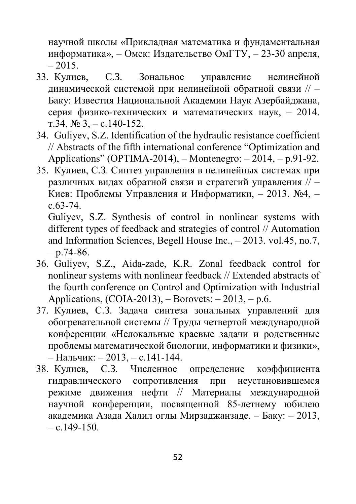научной школы «Прикладная математика и фундаментальная информатика», – Омск: Издательство ОмГТУ, – 23-30 апреля,  $-2015.$ 

- 33. Кулиев, С.З. Зональное управление нелинейной динамической системой при нелинейной обратной связи // – Баку: Известия Национальной Академии Наук Азербайджана, серия физико-технических и математических наук, – 2014. т.34,  $\mathcal{N}$   $(3, -c.140 - 152)$ .
- 34. Guliyev, S.Z. Identification of the hydraulic resistance coefficient // Abstracts of the fifth international conference "Optimization and Applications" (OPTIMA-2014), – Montenegro: – 2014, – p.91-92.
- 35. Кулиев, С.З. Синтез управления в нелинейных системах при различных видах обратной связи и стратегий управления // – Киев: Проблемы Управления и Информатики, – 2013. №4, – с.63-74.

Guliyev, S.Z. Synthesis of control in nonlinear systems with different types of feedback and strategies of control // Automation and Information Sciences, Begell House Inc., – 2013. vol.45, no.7,  $- p.74-86.$ 

- 36. Guliyev, S.Z., Aida-zade, K.R. Zonal feedback control for nonlinear systems with nonlinear feedback // Extended abstracts of the fourth conference on Control and Optimization with Industrial Applications,  $(COIA-2013)$ , – Borovets: – 2013, – p.6.
- 37. Кулиев, С.З. Задача синтеза зональных управлений для обогревательной системы // Труды четвертой международной конференции «Нелокальные краевые задачи и родственные проблемы математической биологии, информатики и физики», – Нальчик: – 2013, – с.141-144.
- 38. Кулиев, С.З. Численное определение коэффициента гидравлического сопротивления при неустановившемся режиме движения нефти // Материалы международной научной конференции, посвященной 85-летнему юбилею академика Азада Халил оглы Мирзаджанзаде, – Баку: – 2013, – c.  $149-150$ .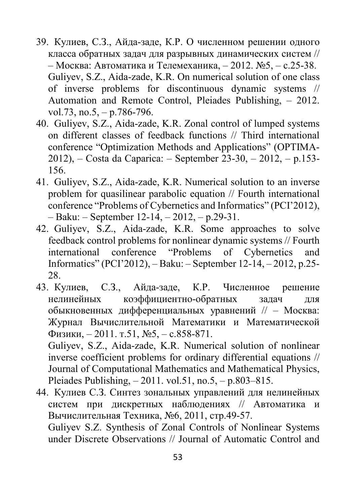- 39. Кулиев, С.З., Айда-заде, К.Р. О численном решении одного класса обратных задач для разрывных динамических систем // – Москва: Автоматика и Телемеханика, – 2012. №5, – с.25-38. Guliyev, S.Z., Aida-zade, K.R. On numerical solution of one class of inverse problems for discontinuous dynamic systems // Automation and Remote Control, Pleiades Publishing, – 2012. vol.73, no.5,  $-$  p.786-796.
- 40. Guliyev, S.Z., Aida-zade, K.R. Zonal control of lumped systems on different classes of feedback functions // Third international conference "Optimization Methods and Applications" (OPTIMA-2012), – Costa da Caparica: – September 23-30, – 2012, – p.153- 156.
- 41. Guliyev, S.Z., Aida-zade, K.R. Numerical solution to an inverse problem for quasilinear parabolic equation // Fourth international conference "Problems of Cybernetics and Informatics" (PCI'2012), – Baku: – September 12-14, – 2012, – p.29-31.
- 42. Guliyev, S.Z., Aida-zade, K.R. Some approaches to solve feedback control problems for nonlinear dynamic systems // Fourth international conference "Problems of Cybernetics and Informatics" (PCI'2012), – Baku: – September 12-14, – 2012, p.25- 28.
- 43. Кулиев, С.З., Айда-заде, К.Р. Численное решение нелинейных коэффициентно-обратных задач для обыкновенных дифференциальных уравнений // – Москва: Журнал Вычислительной Математики и Математической Физики, – 2011. т.51, №5, – с.858-871.

Guliyev, S.Z., Aida-zade, K.R. Numerical solution of nonlinear inverse coefficient problems for ordinary differential equations // Journal of Computational Mathematics and Mathematical Physics, Pleiades Publishing, – 2011. vol.51, no.5, – p.803–815.

44. Кулиев С.З. Синтез зональных управлений для нелинейных систем при дискретных наблюдениях // Автоматика и Вычислительная Техника, №6, 2011, стр.49-57. Guliyev S.Z. Synthesis of Zonal Controls of Nonlinear Systems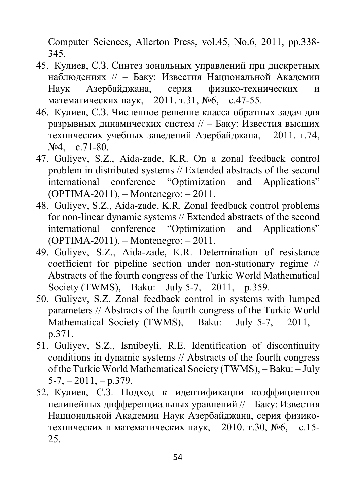Computer Sciences, Allerton Press, vol.45, No.6, 2011, pp.338- 345.

- 45. Кулиев, С.З. Синтез зональных управлений при дискретных наблюдениях // – Баку: Известия Национальной Академии Наук Азербайджана, серия физико-технических и математических наук, – 2011. т.31, №6, – с.47-55.
- 46. Кулиев, С.З. Численное решение класса обратных задач для разрывных динамических систем // – Баку: Известия высших технических учебных заведений Азербайджана, – 2011. т.74,  $N_24$ , – c.71-80.
- 47. Guliyev, S.Z., Aida-zade, K.R. On a zonal feedback control problem in distributed systems // Extended abstracts of the second international conference "Optimization and Applications" (OPTIMA-2011), – Montenegro: – 2011.
- 48. Guliyev, S.Z., Aida-zade, K.R. Zonal feedback control problems for non-linear dynamic systems // Extended abstracts of the second international conference "Optimization and Applications" (OPTIMA-2011), – Montenegro: – 2011.
- 49. Guliyev, S.Z., Aida-zade, K.R. Determination of resistance coefficient for pipeline section under non-stationary regime // Abstracts of the fourth congress of the Turkic World Mathematical Society (TWMS),  $-$  Baku:  $-$  July 5-7,  $-$  2011,  $-$  p.359.
- 50. Guliyev, S.Z. Zonal feedback control in systems with lumped parameters // Abstracts of the fourth congress of the Turkic World Mathematical Society (TWMS), – Baku: – July 5-7, – 2011, – p.371.
- 51. Guliyev, S.Z., Ismibeyli, R.E. Identification of discontinuity conditions in dynamic systems // Abstracts of the fourth congress of the Turkic World Mathematical Society (TWMS), – Baku: – July  $5-7, -2011, -p.379.$
- 52. Кулиев, С.З. Подход к идентификации коэффициентов нелинейных дифференциальных уравнений // – Баку: Известия Национальной Академии Наук Азербайджана, серия физикотехнических и математических наук, – 2010. т.30, №6, – с.15- 25.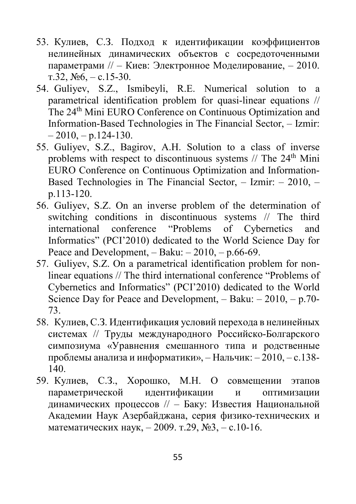- 53. Кулиев, С.З. Подход к идентификации коэффициентов нелинейных динамических объектов с сосредоточенными параметрами // – Киев: Электронное Моделирование, – 2010. т.32,  $N_2$ 6, – с.15-30.
- 54. Guliyev, S.Z., Ismibeyli, R.E. Numerical solution to a parametrical identification problem for quasi-linear equations // The 24th Mini EURO Conference on Continuous Optimization and Information-Based Technologies in The Financial Sector, – Izmir:  $-2010$ ,  $- p.124-130$ .
- 55. Guliyev, S.Z., Bagirov, A.H. Solution to a class of inverse problems with respect to discontinuous systems  $//$  The  $24<sup>th</sup>$  Mini EURO Conference on Continuous Optimization and Information-Based Technologies in The Financial Sector, – Izmir: – 2010, – p.113-120.
- 56. Guliyev, S.Z. On an inverse problem of the determination of switching conditions in discontinuous systems // The third international conference "Problems of Cybernetics and Informatics" (PCI'2010) dedicated to the World Science Day for Peace and Development,  $-$  Baku:  $-2010$ ,  $-$  p.66-69.
- 57. Guliyev, S.Z. On a parametrical identification problem for nonlinear equations // The third international conference "Problems of Cybernetics and Informatics" (PCI'2010) dedicated to the World Science Day for Peace and Development,  $-$  Baku:  $-2010$ ,  $-$  p.70-73.
- 58. Кулиев, С.З. Идентификация условий перехода в нелинейных системах // Труды международного Российско-Болгарского симпозиума «Уравнения смешанного типа и родственные проблемы анализа и информатики», – Нальчик: – 2010, – с.138- 140.
- 59. Кулиев, С.З., Хорошко, М.Н. О совмещении этапов параметрической идентификации и оптимизации динамических процессов // – Баку: Известия Национальной Академии Наук Азербайджана, серия физико-технических и математических наук, – 2009. т.29, №3, – с.10-16.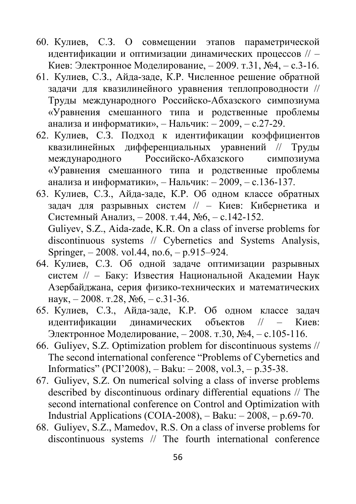- 60. Кулиев, С.З. О совмещении этапов параметрической идентификации и оптимизации динамических процессов // – Киев: Электронное Моделирование, – 2009. т.31, №4, – с.3-16.
- 61. Кулиев, С.З., Айда-заде, К.Р. Численное решение обратной задачи для квазилинейного уравнения теплопроводности // Труды международного Российско-Абхазского симпозиума «Уравнения смешанного типа и родственные проблемы анализа и информатики», – Нальчик: – 2009, – с.27-29.
- 62. Кулиев, С.З. Подход к идентификации коэффициентов квазилинейных дифференциальных уравнений // Труды международного Российско-Абхазского симпозиума «Уравнения смешанного типа и родственные проблемы анализа и информатики», – Нальчик: – 2009, – с.136-137.
- 63. Кулиев, С.З., Айда-заде, К.Р. Об одном классе обратных задач для разрывных систем // – Киев: Кибернетика и Системный Анализ, – 2008. т.44, №6, – с.142-152. Guliyev, S.Z., Aida-zade, K.R. On a class of inverse problems for discontinuous systems // Cybernetics and Systems Analysis, Springer, – 2008. vol.44, no.6, – p.915–924.
- 64. Кулиев, С.З. Об одной задаче оптимизации разрывных систем // – Баку: Известия Национальной Академии Наук Азербайджана, серия физико-технических и математических наук, – 2008. т.28, №6, – с.31-36.
- 65. Кулиев, С.З., Айда-заде, К.Р. Об одном классе задач идентификации динамических объектов // – Киев: Электронное Моделирование, – 2008. т.30, №4, – с.105-116.
- 66. Guliyev, S.Z. Optimization problem for discontinuous systems // The second international conference "Problems of Cybernetics and Informatics" (PCI'2008), – Baku: – 2008, vol.3, – p.35-38.
- 67. Guliyev, S.Z. On numerical solving a class of inverse problems described by discontinuous ordinary differential equations // The second international conference on Control and Optimization with Industrial Applications (COIA-2008), – Baku: – 2008, – p.69-70.
- 68. Guliyev, S.Z., Mamedov, R.S. On a class of inverse problems for discontinuous systems // The fourth international conference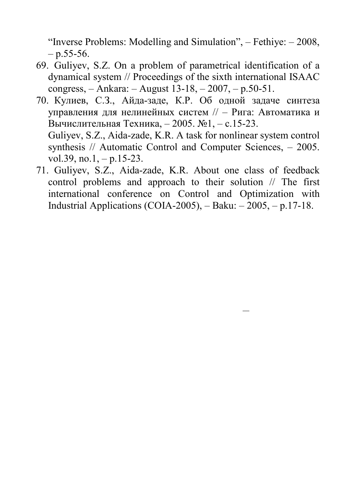"Inverse Problems: Modelling and Simulation", – Fethiye: – 2008,  $-$  p.55-56.

- 69. Guliyev, S.Z. On a problem of parametrical identification of a dynamical system // Proceedings of the sixth international ISAAC congress, – Ankara: – August 13-18, – 2007, – p.50-51.
- 70. Кулиев, С.З., Айда-заде, К.Р. Об одной задаче синтеза управления для нелинейных систем // – Рига: Автоматика и Вычислительная Техника, – 2005. №1, – с.15-23. Guliyev, S.Z., Aida-zade, K.R. A task for nonlinear system control synthesis // Automatic Control and Computer Sciences, – 2005.
	- vol.39, no.1,  $-$  p.15-23.
- 71. Guliyev, S.Z., Aida-zade, K.R. About one class of feedback control problems and approach to their solution // The first international conference on Control and Optimization with Industrial Applications (COIA-2005), – Baku: – 2005, – p.17-18.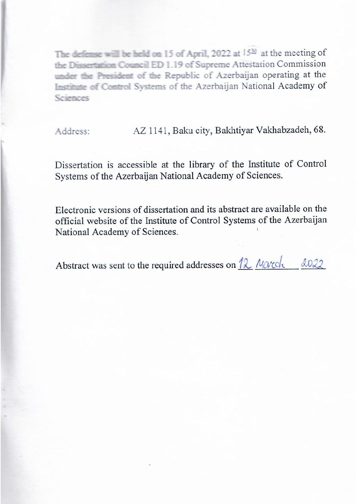The defense will be held on 15 of April, 2022 at 15<sup>20</sup> at the meeting of the Dissertation Council ED 1.19 of Supreme Attestation Commission under the President of the Republic of Azerbaiian operating at the Institute of Control Systems of the Azerbaijan National Academy of

Address: AZ 1141, Baku city, Bakhtiyar Vakhabzadeh, 68.

Dissertation is accessible at the library of the Institute of Control Systems of the Azerbaijan National Academy of Sciences.

Electronic versions of dissertation and its abstract are available on the official website of the Institute of Control Systems of the Azerbaijan National Academy of Sciences.

Abstract was sent to the required addresses on 12 March 2022